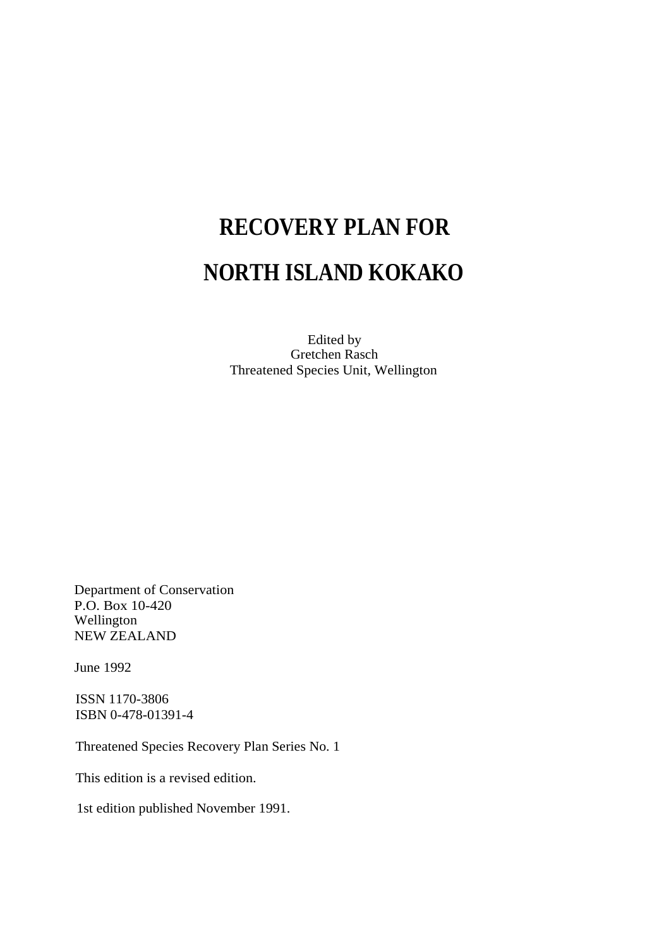# **RECOVERY PLAN FOR NORTH ISLAND KOKAKO**

Edited by Gretchen Rasch Threatened Species Unit, Wellington

Department of Conservation P.O. Box 10-420 Wellington NEW ZEALAND

June 1992

ISSN 1170-3806 ISBN 0-478-01391-4

Threatened Species Recovery Plan Series No. 1

This edition is a revised edition.

1st edition published November 1991.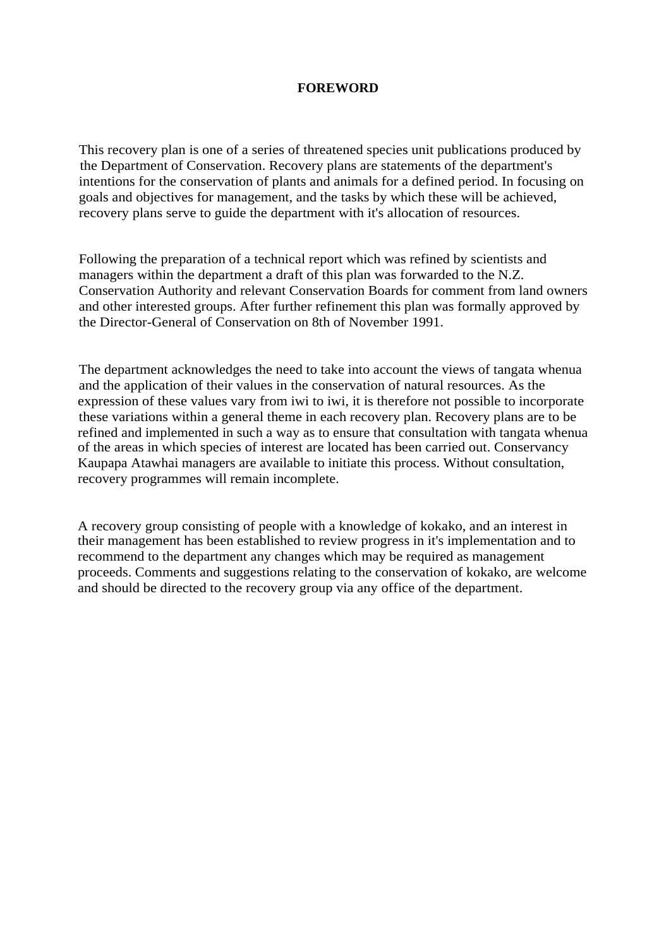### **FOREWORD**

This recovery plan is one of a series of threatened species unit publications produced by the Department of Conservation. Recovery plans are statements of the department's intentions for the conservation of plants and animals for a defined period. In focusing on goals and objectives for management, and the tasks by which these will be achieved, recovery plans serve to guide the department with it's allocation of resources.

Following the preparation of a technical report which was refined by scientists and managers within the department a draft of this plan was forwarded to the N.Z. Conservation Authority and relevant Conservation Boards for comment from land owners and other interested groups. After further refinement this plan was formally approved by the Director-General of Conservation on 8th of November 1991.

The department acknowledges the need to take into account the views of tangata whenua and the application of their values in the conservation of natural resources. As the expression of these values vary from iwi to iwi, it is therefore not possible to incorporate these variations within a general theme in each recovery plan. Recovery plans are to be refined and implemented in such a way as to ensure that consultation with tangata whenua of the areas in which species of interest are located has been carried out. Conservancy Kaupapa Atawhai managers are available to initiate this process. Without consultation, recovery programmes will remain incomplete.

A recovery group consisting of people with a knowledge of kokako, and an interest in their management has been established to review progress in it's implementation and to recommend to the department any changes which may be required as management proceeds. Comments and suggestions relating to the conservation of kokako, are welcome and should be directed to the recovery group via any office of the department.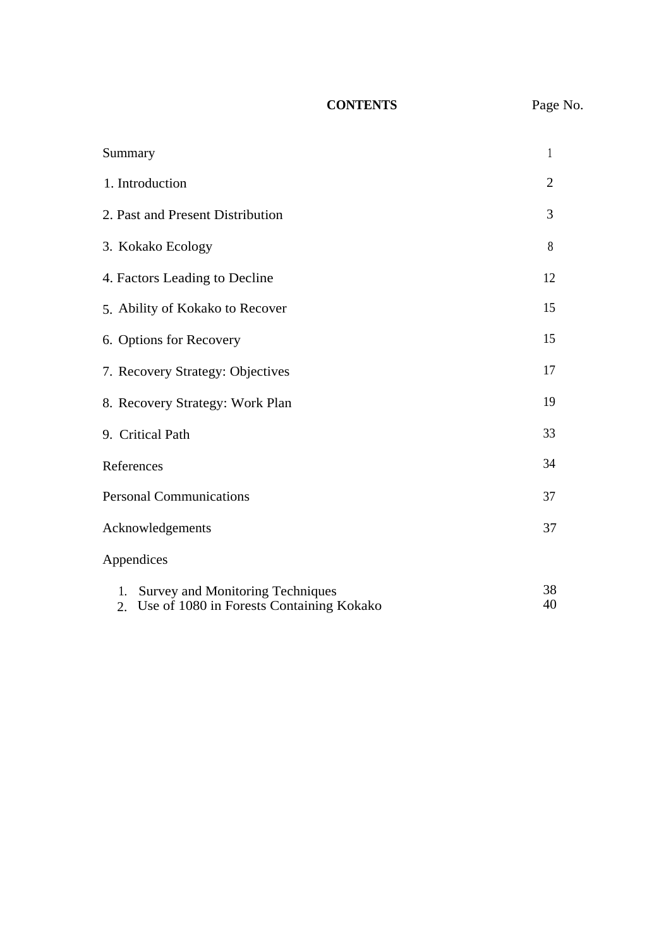# **CONTENTS** Page No.

| Summary                                                                                         | 1              |
|-------------------------------------------------------------------------------------------------|----------------|
| 1. Introduction                                                                                 | $\overline{2}$ |
| 2. Past and Present Distribution                                                                | 3              |
| 3. Kokako Ecology                                                                               | 8              |
| 4. Factors Leading to Decline                                                                   | 12             |
| 5. Ability of Kokako to Recover                                                                 | 15             |
| 6. Options for Recovery                                                                         | 15             |
| 7. Recovery Strategy: Objectives                                                                | 17             |
| 8. Recovery Strategy: Work Plan                                                                 | 19             |
| 9. Critical Path                                                                                | 33             |
| References                                                                                      | 34             |
| <b>Personal Communications</b>                                                                  | 37             |
| Acknowledgements                                                                                | 37             |
| Appendices                                                                                      |                |
| <b>Survey and Monitoring Techniques</b><br>1.<br>Use of 1080 in Forests Containing Kokako<br>2. | 38<br>40       |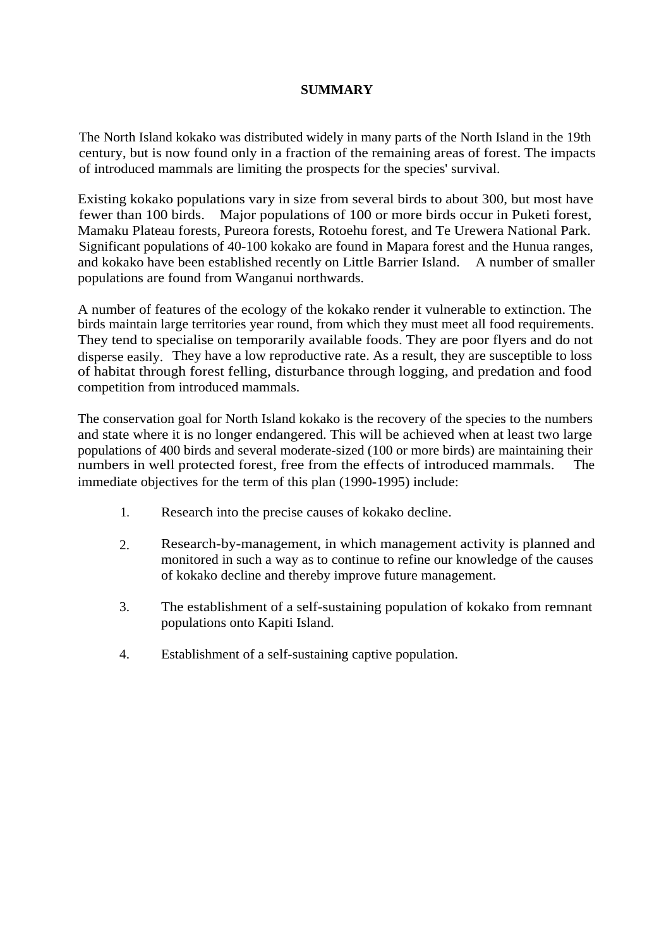# **SUMMARY**

The North Island kokako was distributed widely in many parts of the North Island in the 19th century, but is now found only in a fraction of the remaining areas of forest. The impacts of introduced mammals are limiting the prospects for the species' survival.

Existing kokako populations vary in size from several birds to about 300, but most have fewer than 100 birds. Major populations of 100 or more birds occur in Puketi forest, Mamaku Plateau forests, Pureora forests, Rotoehu forest, and Te Urewera National Park. Significant populations of 40-100 kokako are found in Mapara forest and the Hunua ranges, and kokako have been established recently on Little Barrier Island. A number of smaller populations are found from Wanganui northwards.

A number of features of the ecology of the kokako render it vulnerable to extinction. The birds maintain large territories year round, from which they must meet all food requirements. They tend to specialise on temporarily available foods. They are poor flyers and do not disperse easily. They have a low reproductive rate. As a result, they are susceptible to loss of habitat through forest felling, disturbance through logging, and predation and food competition from introduced mammals.

The conservation goal for North Island kokako is the recovery of the species to the numbers and state where it is no longer endangered. This will be achieved when at least two large populations of 400 birds and several moderate-sized (100 or more birds) are maintaining their numbers in well protected forest, free from the effects of introduced mammals. The immediate objectives for the term of this plan (1990-1995) include:

- 1. Research into the precise causes of kokako decline.
- 2. Research-by-management, in which management activity is planned and monitored in such a way as to continue to refine our knowledge of the causes of kokako decline and thereby improve future management.
- 3. The establishment of a self-sustaining population of kokako from remnant populations onto Kapiti Island.
- 4. Establishment of a self-sustaining captive population.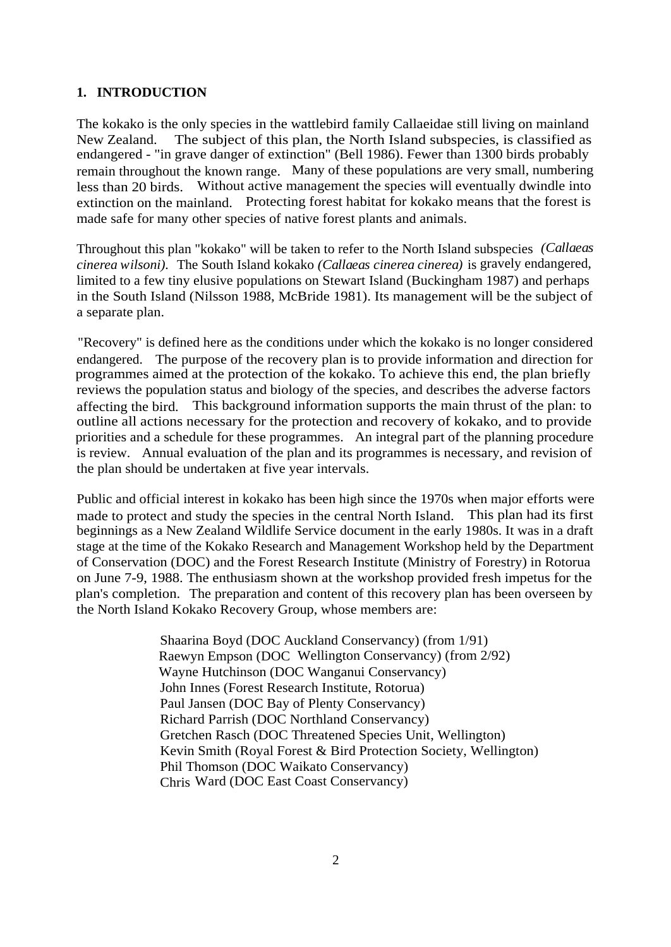## **1. INTRODUCTION**

The kokako is the only species in the wattlebird family Callaeidae still living on mainland New Zealand. The subject of this plan, the North Island subspecies, is classified as endangered - "in grave danger of extinction" (Bell 1986). Fewer than 1300 birds probably remain throughout the known range. Many of these populations are very small, numbering less than 20 birds. Without active management the species will eventually dwindle into extinction on the mainland. Protecting forest habitat for kokako means that the forest is made safe for many other species of native forest plants and animals.

Throughout this plan "kokako" will be taken to refer to the North Island subspecies *(Callaeas cinerea wilsoni).* The South Island kokako *(Callaeas cinerea cinerea)* is gravely endangered, limited to a few tiny elusive populations on Stewart Island (Buckingham 1987) and perhaps in the South Island (Nilsson 1988, McBride 1981). Its management will be the subject of a separate plan.

"Recovery" is defined here as the conditions under which the kokako is no longer considered endangered. The purpose of the recovery plan is to provide information and direction for programmes aimed at the protection of the kokako. To achieve this end, the plan briefly reviews the population status and biology of the species, and describes the adverse factors affecting the bird. This background information supports the main thrust of the plan: to outline all actions necessary for the protection and recovery of kokako, and to provide priorities and a schedule for these programmes. An integral part of the planning procedure is review. Annual evaluation of the plan and its programmes is necessary, and revision of the plan should be undertaken at five year intervals.

Public and official interest in kokako has been high since the 1970s when major efforts were made to protect and study the species in the central North Island. This plan had its first beginnings as a New Zealand Wildlife Service document in the early 1980s. It was in a draft stage at the time of the Kokako Research and Management Workshop held by the Department of Conservation (DOC) and the Forest Research Institute (Ministry of Forestry) in Rotorua on June 7-9, 1988. The enthusiasm shown at the workshop provided fresh impetus for the plan's completion. The preparation and content of this recovery plan has been overseen by the North Island Kokako Recovery Group, whose members are:

> Shaarina Boyd (DOC Auckland Conservancy) (from 1/91) Raewyn Empson (DOC Wellington Conservancy) (from 2/92) Wayne Hutchinson (DOC Wanganui Conservancy) John Innes (Forest Research Institute, Rotorua) Paul Jansen (DOC Bay of Plenty Conservancy) Richard Parrish (DOC Northland Conservancy) Gretchen Rasch (DOC Threatened Species Unit, Wellington) Kevin Smith (Royal Forest & Bird Protection Society, Wellington) Phil Thomson (DOC Waikato Conservancy) Chris Ward (DOC East Coast Conservancy)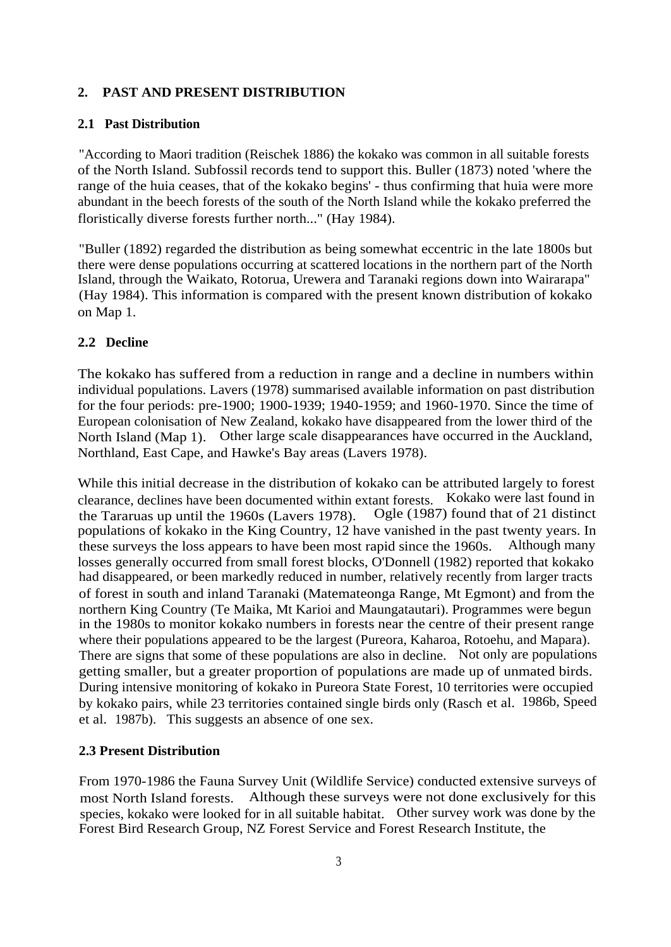# **2. PAST AND PRESENT DISTRIBUTION**

#### **2.1 Past Distribution**

"According to Maori tradition (Reischek 1886) the kokako was common in all suitable forests of the North Island. Subfossil records tend to support this. Buller (1873) noted 'where the range of the huia ceases, that of the kokako begins' - thus confirming that huia were more abundant in the beech forests of the south of the North Island while the kokako preferred the floristically diverse forests further north..." (Hay 1984).

"Buller (1892) regarded the distribution as being somewhat eccentric in the late 1800s but there were dense populations occurring at scattered locations in the northern part of the North Island, through the Waikato, Rotorua, Urewera and Taranaki regions down into Wairarapa" (Hay 1984). This information is compared with the present known distribution of kokako on Map 1.

### **2.2 Decline**

The kokako has suffered from a reduction in range and a decline in numbers within individual populations. Lavers (1978) summarised available information on past distribution for the four periods: pre-1900; 1900-1939; 1940-1959; and 1960-1970. Since the time of European colonisation of New Zealand, kokako have disappeared from the lower third of the North Island (Map 1). Other large scale disappearances have occurred in the Auckland, Northland, East Cape, and Hawke's Bay areas (Lavers 1978).

While this initial decrease in the distribution of kokako can be attributed largely to forest clearance, declines have been documented within extant forests. Kokako were last found in the Tararuas up until the 1960s (Lavers 1978). Ogle (1987) found that of 21 distinct populations of kokako in the King Country, 12 have vanished in the past twenty years. In these surveys the loss appears to have been most rapid since the 1960s. Although many losses generally occurred from small forest blocks, O'Donnell (1982) reported that kokako had disappeared, or been markedly reduced in number, relatively recently from larger tracts of forest in south and inland Taranaki (Matemateonga Range, Mt Egmont) and from the northern King Country (Te Maika, Mt Karioi and Maungatautari). Programmes were begun in the 1980s to monitor kokako numbers in forests near the centre of their present range where their populations appeared to be the largest (Pureora, Kaharoa, Rotoehu, and Mapara). There are signs that some of these populations are also in decline. Not only are populations getting smaller, but a greater proportion of populations are made up of unmated birds. During intensive monitoring of kokako in Pureora State Forest, 10 territories were occupied by kokako pairs, while 23 territories contained single birds only (Rasch et al. 1986b, Speed et al. 1987b). This suggests an absence of one sex.

### **2.3 Present Distribution**

From 1970-1986 the Fauna Survey Unit (Wildlife Service) conducted extensive surveys of most North Island forests. Although these surveys were not done exclusively for this species, kokako were looked for in all suitable habitat. Other survey work was done by the Forest Bird Research Group, NZ Forest Service and Forest Research Institute, the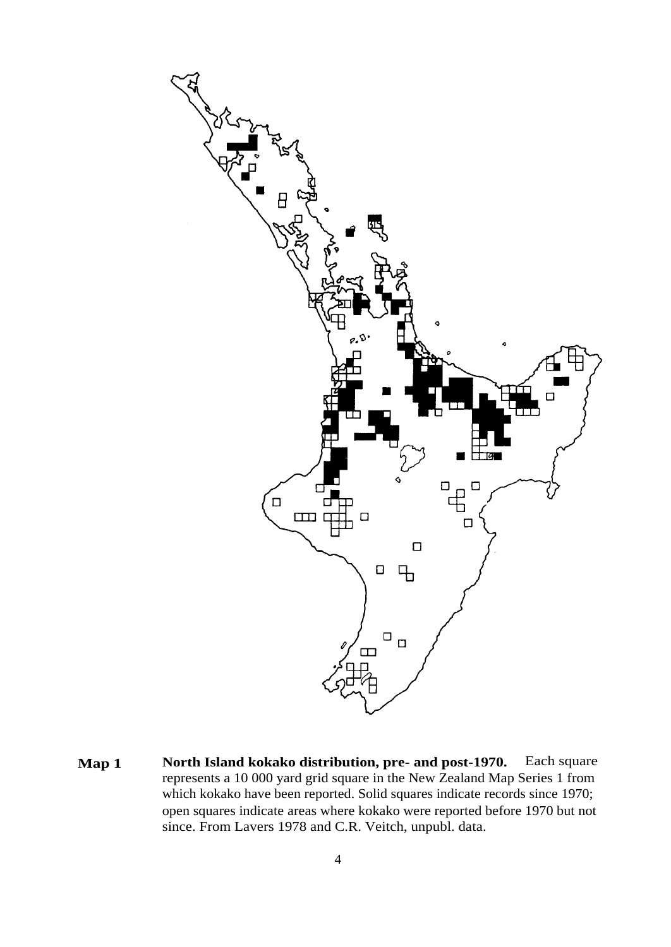

**Map 1 North Island kokako distribution, pre- and post-1970.** Each square represents a 10 000 yard grid square in the New Zealand Map Series 1 from which kokako have been reported. Solid squares indicate records since 1970; open squares indicate areas where kokako were reported before 1970 but not since. From Lavers 1978 and C.R. Veitch, unpubl. data.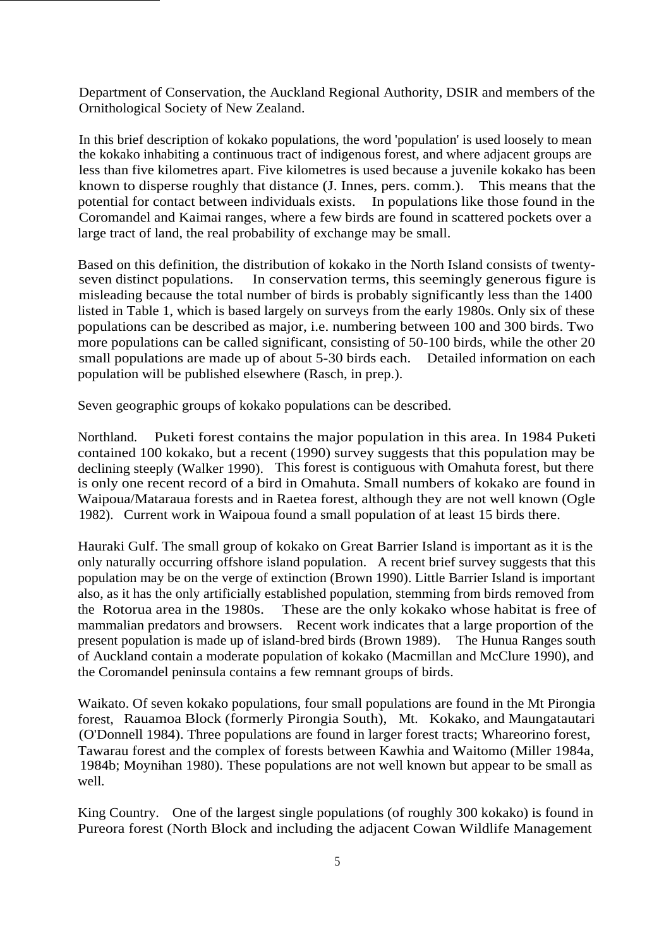Department of Conservation, the Auckland Regional Authority, DSIR and members of the Ornithological Society of New Zealand.

In this brief description of kokako populations, the word 'population' is used loosely to mean the kokako inhabiting a continuous tract of indigenous forest, and where adjacent groups are less than five kilometres apart. Five kilometres is used because a juvenile kokako has been known to disperse roughly that distance (J. Innes, pers. comm.). This means that the potential for contact between individuals exists. In populations like those found in the Coromandel and Kaimai ranges, where a few birds are found in scattered pockets over a large tract of land, the real probability of exchange may be small.

Based on this definition, the distribution of kokako in the North Island consists of twentyseven distinct populations. In conservation terms, this seemingly generous figure is misleading because the total number of birds is probably significantly less than the 1400 listed in Table 1, which is based largely on surveys from the early 1980s. Only six of these populations can be described as major, i.e. numbering between 100 and 300 birds. Two more populations can be called significant, consisting of 50-100 birds, while the other 20 small populations are made up of about 5-30 birds each. Detailed information on each population will be published elsewhere (Rasch, in prep.).

Seven geographic groups of kokako populations can be described.

Northland. Puketi forest contains the major population in this area. In 1984 Puketi contained 100 kokako, but a recent (1990) survey suggests that this population may be declining steeply (Walker 1990). This forest is contiguous with Omahuta forest, but there is only one recent record of a bird in Omahuta. Small numbers of kokako are found in Waipoua/Mataraua forests and in Raetea forest, although they are not well known (Ogle 1982). Current work in Waipoua found a small population of at least 15 birds there.

Hauraki Gulf. The small group of kokako on Great Barrier Island is important as it is the only naturally occurring offshore island population. A recent brief survey suggests that this population may be on the verge of extinction (Brown 1990). Little Barrier Island is important also, as it has the only artificially established population, stemming from birds removed from the Rotorua area in the 1980s. These are the only kokako whose habitat is free of mammalian predators and browsers. Recent work indicates that a large proportion of the present population is made up of island-bred birds (Brown 1989). The Hunua Ranges south of Auckland contain a moderate population of kokako (Macmillan and McClure 1990), and the Coromandel peninsula contains a few remnant groups of birds.

Waikato. Of seven kokako populations, four small populations are found in the Mt Pirongia forest, Rauamoa Block (formerly Pirongia South), Mt. Kokako, and Maungatautari (O'Donnell 1984). Three populations are found in larger forest tracts; Whareorino forest, Tawarau forest and the complex of forests between Kawhia and Waitomo (Miller 1984a, 1984b; Moynihan 1980). These populations are not well known but appear to be small as well.

King Country. One of the largest single populations (of roughly 300 kokako) is found in Pureora forest (North Block and including the adjacent Cowan Wildlife Management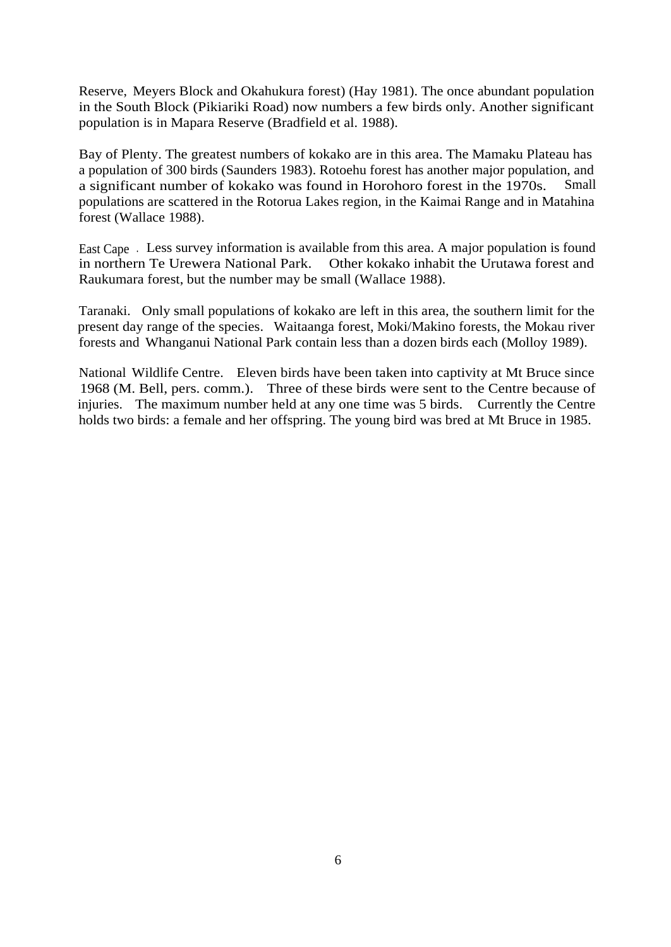Reserve, Meyers Block and Okahukura forest) (Hay 1981). The once abundant population in the South Block (Pikiariki Road) now numbers a few birds only. Another significant population is in Mapara Reserve (Bradfield et al. 1988).

Bay of Plenty. The greatest numbers of kokako are in this area. The Mamaku Plateau has a population of 300 birds (Saunders 1983). Rotoehu forest has another major population, and a significant number of kokako was found in Horohoro forest in the 1970s. Small populations are scattered in the Rotorua Lakes region, in the Kaimai Range and in Matahina forest (Wallace 1988).

East Cape . Less survey information is available from this area. A major population is found in northern Te Urewera National Park. Other kokako inhabit the Urutawa forest and Raukumara forest, but the number may be small (Wallace 1988).

Taranaki. Only small populations of kokako are left in this area, the southern limit for the present day range of the species. Waitaanga forest, Moki/Makino forests, the Mokau river forests and Whanganui National Park contain less than a dozen birds each (Molloy 1989).

National Wildlife Centre. Eleven birds have been taken into captivity at Mt Bruce since 1968 (M. Bell, pers. comm.). Three of these birds were sent to the Centre because of injuries. The maximum number held at any one time was 5 birds. Currently the Centre holds two birds: a female and her offspring. The young bird was bred at Mt Bruce in 1985.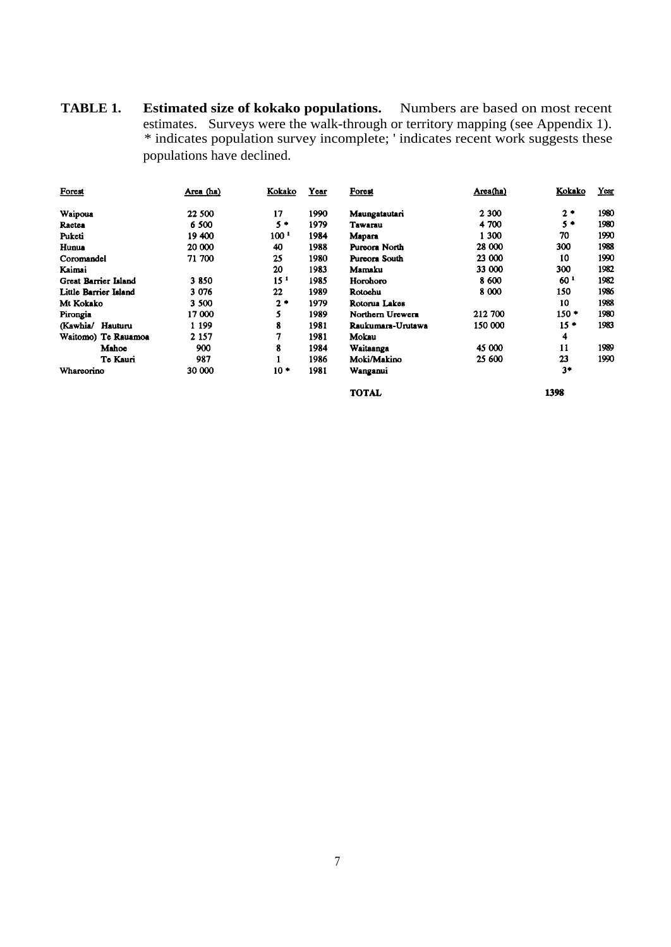**TABLE 1. Estimated size of kokako populations.** Numbers are based on most recent estimates. Surveys were the walk-through or territory mapping (see Appendix 1). \* indicates population survey incomplete; ' indicates recent work suggests these populations have declined.

| Forest                      | Area (ha) | Kokako           | Year | Forest            | Area(ha) | Kokako          | Year |
|-----------------------------|-----------|------------------|------|-------------------|----------|-----------------|------|
| Waipoua                     | 22 500    | 17               | 1990 | Maungatautari     | 2 300    | $2*$            | 1980 |
| Ractea                      | 6 500     | $5+$             | 1979 | Tawarau           | 4 700    | $5*$            | 1980 |
| Puketi                      | 19 400    | 100 <sup>1</sup> | 1984 | Mapara            | 1 300    | 70              | 1990 |
| Hunua                       | 20 000    | 40               | 1988 | Pureora North     | 28 000   | 300             | 1988 |
| Coromandel                  | 71 700    | 25               | 1980 | Pureora South     | 23 000   | 10              | 1990 |
| Kaimai                      |           | 20               | 1983 | Mamaku            | 33 000   | 300             | 1982 |
| <b>Great Barrier Island</b> | 3850      | 15 <sup>1</sup>  | 1985 | Horohoro          | 8 600    | 60 <sup>1</sup> | 1982 |
| Little Barrier Island       | 3 076     | 22               | 1989 | Rotoehu           | 8 0 0 0  | 150             | 1986 |
| Mt Kokako                   | 3 500     | $2*$             | 1979 | Rotorua Lakes     |          | 10              | 1988 |
| Pirongia                    | 17 000    | 5                | 1989 | Northern Urewern  | 212 700  | $150*$          | 1980 |
| Hauturu<br>(Kawhia/         | 1 1 9 9   | 8                | 1981 | Raukumara-Urutawa | 150 000  | $15*$           | 1983 |
| Waitomo) Te Rauamoa         | 2 1 5 7   | 7                | 1981 | Mokau             |          | 4               |      |
| Mahoe                       | 900       | 8                | 1984 | Waitaanga         | 45 000   | 11              | 1989 |
| Te Kauri                    | 987       |                  | 1986 | Moki/Makino       | 25 600   | 23              | 1990 |
| Whareorino                  | 30 000    | $10*$            | 1981 | Wanganui          |          | $3*$            |      |
|                             |           |                  |      | <b>TOTAL</b>      |          | 1398            |      |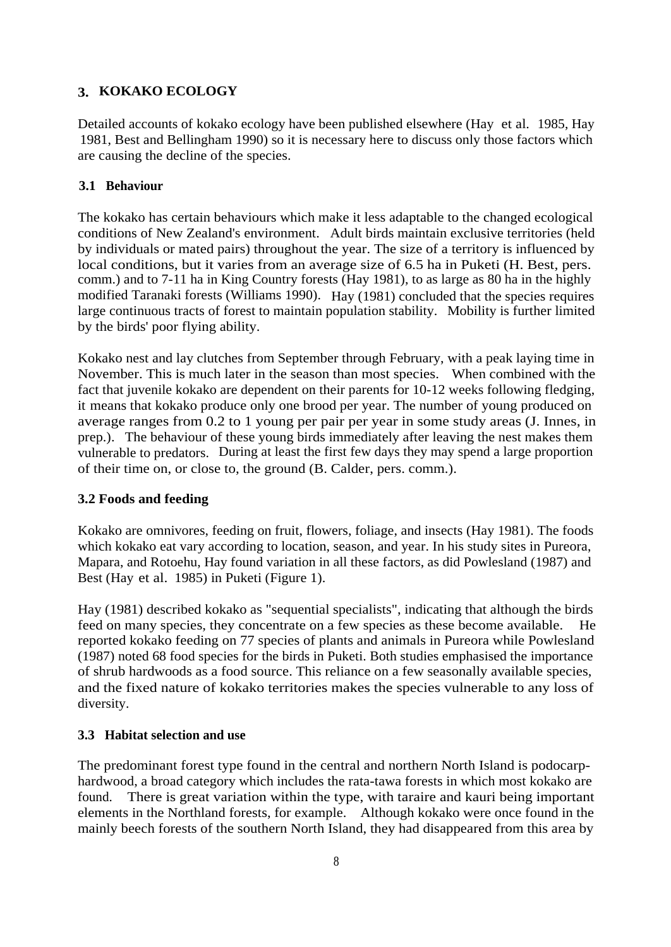# **3. KOKAKO ECOLOGY**

Detailed accounts of kokako ecology have been published elsewhere (Hay et al. 1985, Hay 1981, Best and Bellingham 1990) so it is necessary here to discuss only those factors which are causing the decline of the species.

# **3.1 Behaviour**

The kokako has certain behaviours which make it less adaptable to the changed ecological conditions of New Zealand's environment. Adult birds maintain exclusive territories (held by individuals or mated pairs) throughout the year. The size of a territory is influenced by local conditions, but it varies from an average size of 6.5 ha in Puketi (H. Best, pers. comm.) and to 7-11 ha in King Country forests (Hay 1981), to as large as 80 ha in the highly modified Taranaki forests (Williams 1990). Hay (1981) concluded that the species requires large continuous tracts of forest to maintain population stability. Mobility is further limited by the birds' poor flying ability.

Kokako nest and lay clutches from September through February, with a peak laying time in November. This is much later in the season than most species. When combined with the fact that juvenile kokako are dependent on their parents for 10-12 weeks following fledging, it means that kokako produce only one brood per year. The number of young produced on average ranges from 0.2 to 1 young per pair per year in some study areas (J. Innes, in prep.). The behaviour of these young birds immediately after leaving the nest makes them vulnerable to predators. During at least the first few days they may spend a large proportion of their time on, or close to, the ground (B. Calder, pers. comm.).

# **3.2 Foods and feeding**

Kokako are omnivores, feeding on fruit, flowers, foliage, and insects (Hay 1981). The foods which kokako eat vary according to location, season, and year. In his study sites in Pureora, Mapara, and Rotoehu, Hay found variation in all these factors, as did Powlesland (1987) and Best (Hay et al. 1985) in Puketi (Figure 1).

Hay (1981) described kokako as "sequential specialists", indicating that although the birds feed on many species, they concentrate on a few species as these become available. reported kokako feeding on 77 species of plants and animals in Pureora while Powlesland (1987) noted 68 food species for the birds in Puketi. Both studies emphasised the importance of shrub hardwoods as a food source. This reliance on a few seasonally available species, and the fixed nature of kokako territories makes the species vulnerable to any loss of diversity.

# **3.3 Habitat selection and use**

The predominant forest type found in the central and northern North Island is podocarphardwood, a broad category which includes the rata-tawa forests in which most kokako are found. There is great variation within the type, with taraire and kauri being important elements in the Northland forests, for example. Although kokako were once found in the mainly beech forests of the southern North Island, they had disappeared from this area by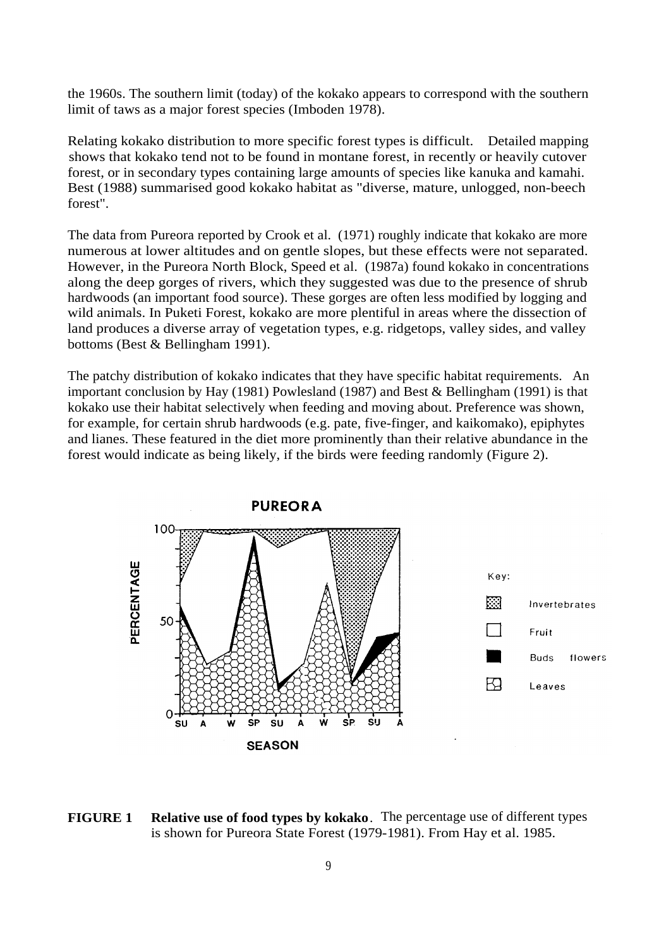the 1960s. The southern limit (today) of the kokako appears to correspond with the southern limit of taws as a major forest species (Imboden 1978).

Relating kokako distribution to more specific forest types is difficult. Detailed mapping shows that kokako tend not to be found in montane forest, in recently or heavily cutover forest, or in secondary types containing large amounts of species like kanuka and kamahi. Best (1988) summarised good kokako habitat as "diverse, mature, unlogged, non-beech forest".

The data from Pureora reported by Crook et al. (1971) roughly indicate that kokako are more numerous at lower altitudes and on gentle slopes, but these effects were not separated. However, in the Pureora North Block, Speed et al. (1987a) found kokako in concentrations along the deep gorges of rivers, which they suggested was due to the presence of shrub hardwoods (an important food source). These gorges are often less modified by logging and wild animals. In Puketi Forest, kokako are more plentiful in areas where the dissection of land produces a diverse array of vegetation types, e.g. ridgetops, valley sides, and valley bottoms (Best & Bellingham 1991).

The patchy distribution of kokako indicates that they have specific habitat requirements. An important conclusion by Hay (1981) Powlesland (1987) and Best & Bellingham (1991) is that kokako use their habitat selectively when feeding and moving about. Preference was shown, for example, for certain shrub hardwoods (e.g. pate, five-finger, and kaikomako), epiphytes and lianes. These featured in the diet more prominently than their relative abundance in the forest would indicate as being likely, if the birds were feeding randomly (Figure 2).



**FIGURE 1 Relative use of food types by kokako**. The percentage use of different types is shown for Pureora State Forest (1979-1981). From Hay et al. 1985.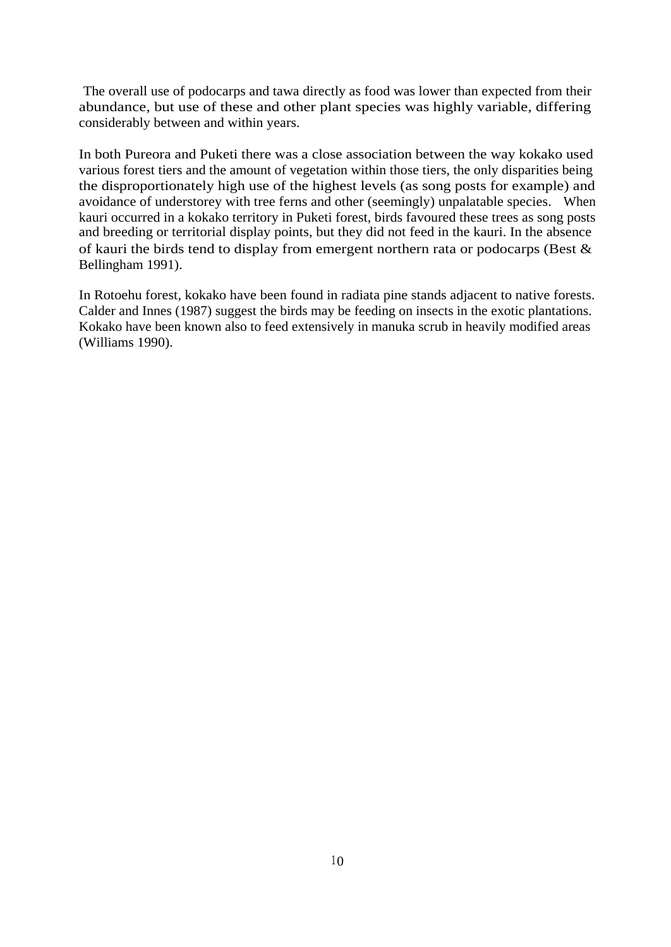The overall use of podocarps and tawa directly as food was lower than expected from their abundance, but use of these and other plant species was highly variable, differing considerably between and within years.

In both Pureora and Puketi there was a close association between the way kokako used various forest tiers and the amount of vegetation within those tiers, the only disparities being the disproportionately high use of the highest levels (as song posts for example) and avoidance of understorey with tree ferns and other (seemingly) unpalatable species. When kauri occurred in a kokako territory in Puketi forest, birds favoured these trees as song posts and breeding or territorial display points, but they did not feed in the kauri. In the absence of kauri the birds tend to display from emergent northern rata or podocarps (Best & Bellingham 1991).

In Rotoehu forest, kokako have been found in radiata pine stands adjacent to native forests. Calder and Innes (1987) suggest the birds may be feeding on insects in the exotic plantations. Kokako have been known also to feed extensively in manuka scrub in heavily modified areas (Williams 1990).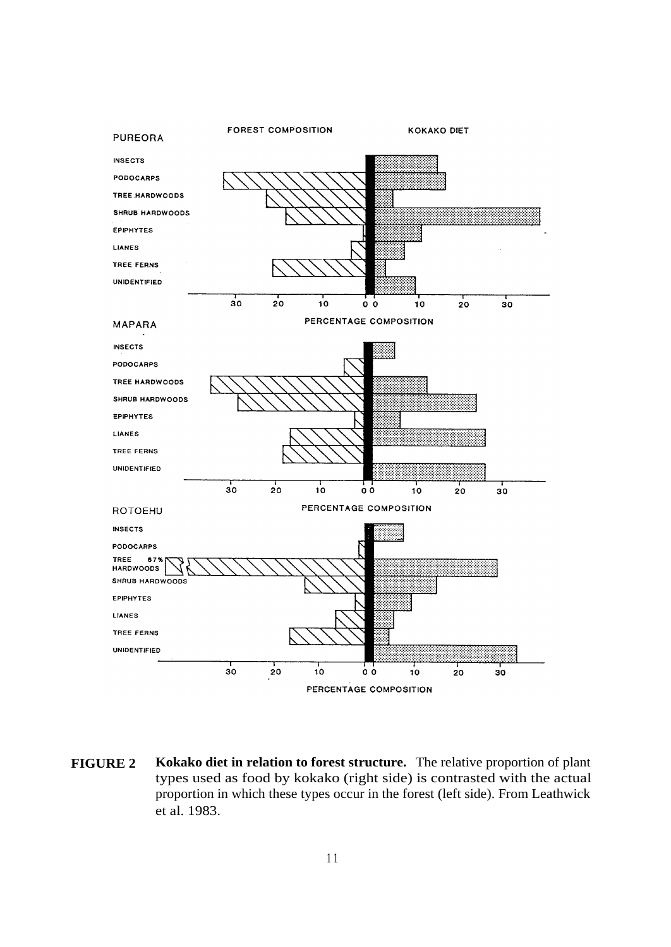

**FIGURE 2 Kokako diet in relation to forest structure.** The relative proportion of plant types used as food by kokako (right side) is contrasted with the actual proportion in which these types occur in the forest (left side). From Leathwick et al. 1983.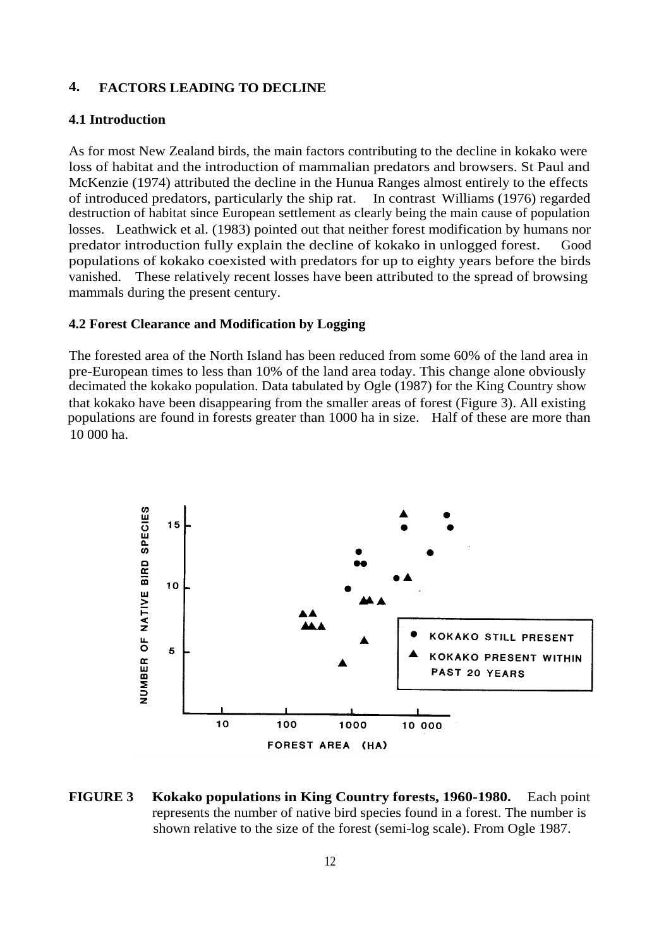# **4. FACTORS LEADING TO DECLINE**

# **4.1 Introduction**

As for most New Zealand birds, the main factors contributing to the decline in kokako were loss of habitat and the introduction of mammalian predators and browsers. St Paul and McKenzie (1974) attributed the decline in the Hunua Ranges almost entirely to the effects of introduced predators, particularly the ship rat. In contrast Williams (1976) regarded destruction of habitat since European settlement as clearly being the main cause of population losses. Leathwick et al. (1983) pointed out that neither forest modification by humans nor predator introduction fully explain the decline of kokako in unlogged forest. Good populations of kokako coexisted with predators for up to eighty years before the birds vanished. These relatively recent losses have been attributed to the spread of browsing mammals during the present century.

#### **4.2 Forest Clearance and Modification by Logging**

The forested area of the North Island has been reduced from some 60% of the land area in pre-European times to less than 10% of the land area today. This change alone obviously decimated the kokako population. Data tabulated by Ogle (1987) for the King Country show that kokako have been disappearing from the smaller areas of forest (Figure 3). All existing populations are found in forests greater than 1000 ha in size. Half of these are more than 10 000 ha.



**FIGURE 3 Kokako populations in King Country forests, 1960-1980.** Each point represents the number of native bird species found in a forest. The number is shown relative to the size of the forest (semi-log scale). From Ogle 1987.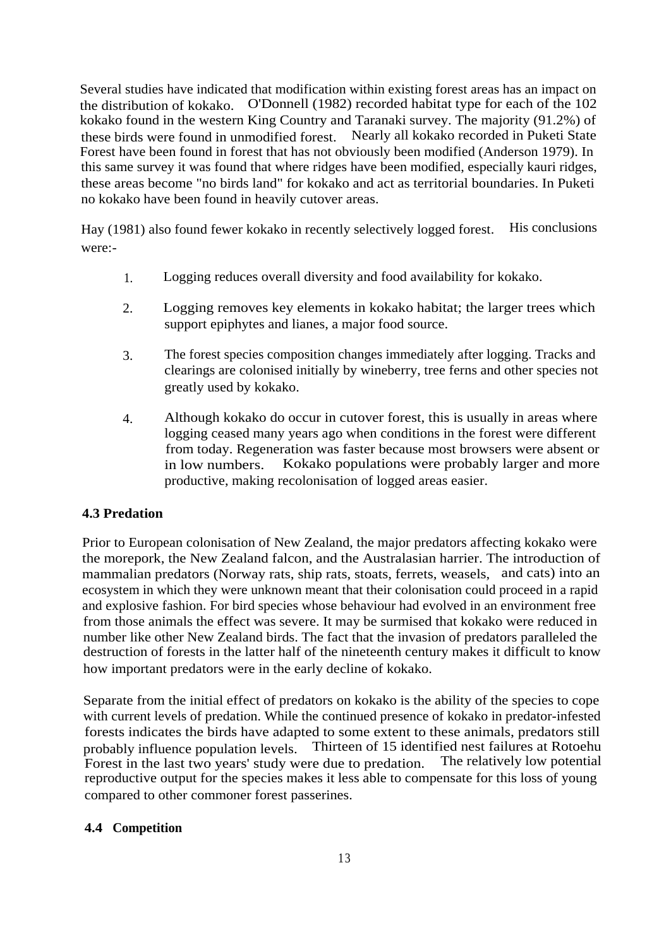Several studies have indicated that modification within existing forest areas has an impact on the distribution of kokako. O'Donnell (1982) recorded habitat type for each of the 102 kokako found in the western King Country and Taranaki survey. The majority (91.2%) of these birds were found in unmodified forest. Nearly all kokako recorded in Puketi State Forest have been found in forest that has not obviously been modified (Anderson 1979). In this same survey it was found that where ridges have been modified, especially kauri ridges, these areas become "no birds land" for kokako and act as territorial boundaries. In Puketi no kokako have been found in heavily cutover areas.

Hay (1981) also found fewer kokako in recently selectively logged forest. His conclusions were:-

- 1. Logging reduces overall diversity and food availability for kokako.
- 2. Logging removes key elements in kokako habitat; the larger trees which support epiphytes and lianes, a major food source.
- 3. The forest species composition changes immediately after logging. Tracks and clearings are colonised initially by wineberry, tree ferns and other species not greatly used by kokako.
- 4. Although kokako do occur in cutover forest, this is usually in areas where logging ceased many years ago when conditions in the forest were different from today. Regeneration was faster because most browsers were absent or in low numbers. Kokako populations were probably larger and more productive, making recolonisation of logged areas easier.

# **4.3 Predation**

Prior to European colonisation of New Zealand, the major predators affecting kokako were the morepork, the New Zealand falcon, and the Australasian harrier. The introduction of mammalian predators (Norway rats, ship rats, stoats, ferrets, weasels, and cats) into an ecosystem in which they were unknown meant that their colonisation could proceed in a rapid and explosive fashion. For bird species whose behaviour had evolved in an environment free from those animals the effect was severe. It may be surmised that kokako were reduced in number like other New Zealand birds. The fact that the invasion of predators paralleled the destruction of forests in the latter half of the nineteenth century makes it difficult to know how important predators were in the early decline of kokako.

Separate from the initial effect of predators on kokako is the ability of the species to cope with current levels of predation. While the continued presence of kokako in predator-infested forests indicates the birds have adapted to some extent to these animals, predators still probably influence population levels. Thirteen of 15 identified nest failures at Rotoehu Forest in the last two years' study were due to predation. reproductive output for the species makes it less able to compensate for this loss of young compared to other commoner forest passerines.

# **4.4 Competition**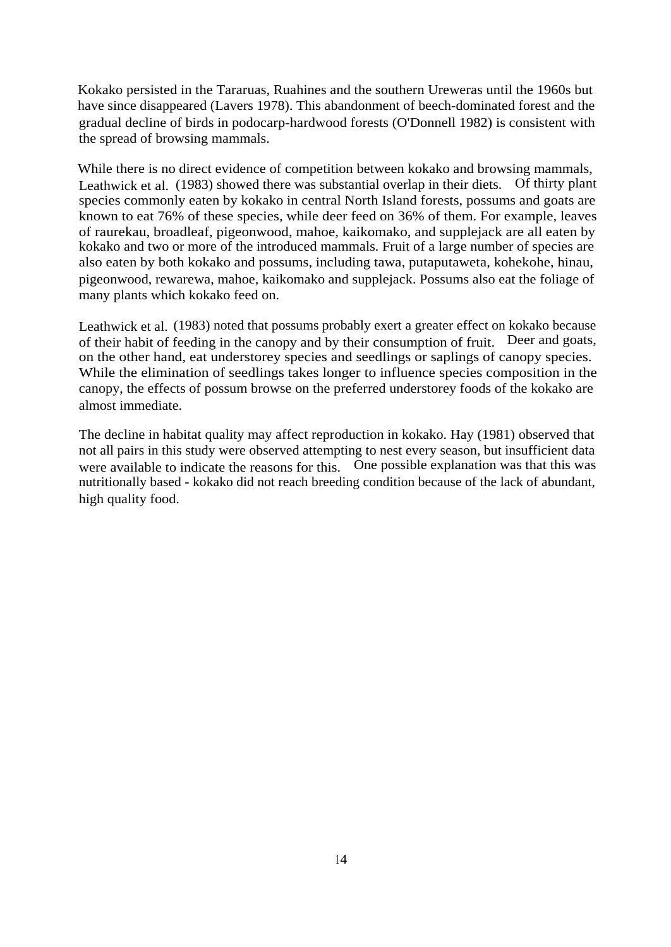Kokako persisted in the Tararuas, Ruahines and the southern Ureweras until the 1960s but have since disappeared (Lavers 1978). This abandonment of beech-dominated forest and the gradual decline of birds in podocarp-hardwood forests (O'Donnell 1982) is consistent with the spread of browsing mammals.

While there is no direct evidence of competition between kokako and browsing mammals, Leathwick et al. (1983) showed there was substantial overlap in their diets. Of thirty plant species commonly eaten by kokako in central North Island forests, possums and goats are known to eat 76% of these species, while deer feed on 36% of them. For example, leaves of raurekau, broadleaf, pigeonwood, mahoe, kaikomako, and supplejack are all eaten by kokako and two or more of the introduced mammals. Fruit of a large number of species are also eaten by both kokako and possums, including tawa, putaputaweta, kohekohe, hinau, pigeonwood, rewarewa, mahoe, kaikomako and supplejack. Possums also eat the foliage of many plants which kokako feed on.

Leathwick et al. (1983) noted that possums probably exert a greater effect on kokako because of their habit of feeding in the canopy and by their consumption of fruit. Deer and goats, on the other hand, eat understorey species and seedlings or saplings of canopy species. While the elimination of seedlings takes longer to influence species composition in the canopy, the effects of possum browse on the preferred understorey foods of the kokako are almost immediate.

The decline in habitat quality may affect reproduction in kokako. Hay (1981) observed that not all pairs in this study were observed attempting to nest every season, but insufficient data were available to indicate the reasons for this. One possible explanation was that this was nutritionally based - kokako did not reach breeding condition because of the lack of abundant, high quality food.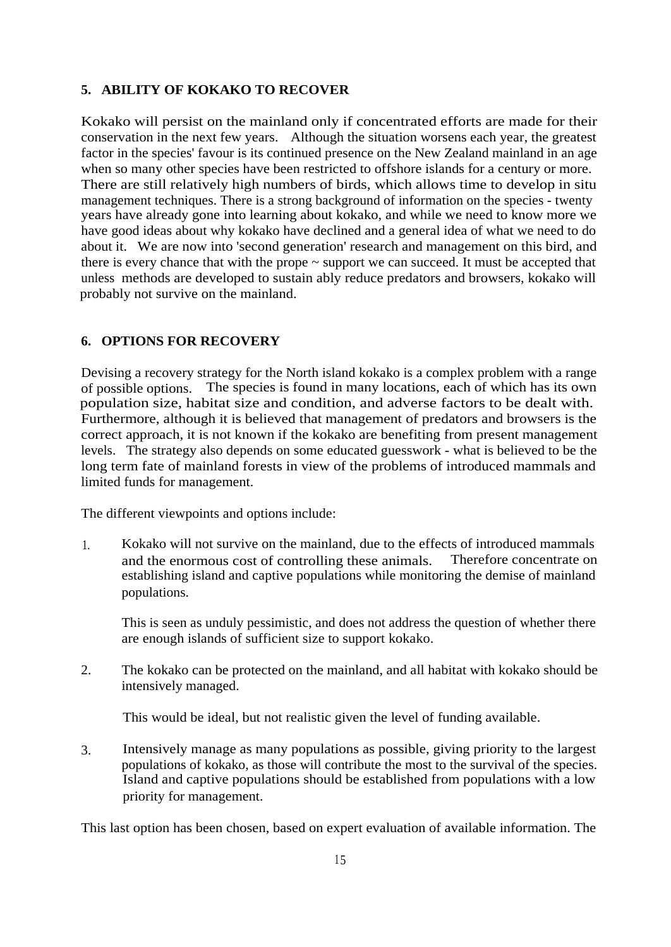# **5. ABILITY OF KOKAKO TO RECOVER**

Kokako will persist on the mainland only if concentrated efforts are made for their conservation in the next few years. Although the situation worsens each year, the greatest factor in the species' favour is its continued presence on the New Zealand mainland in an age when so many other species have been restricted to offshore islands for a century or more. There are still relatively high numbers of birds, which allows time to develop in situ management techniques. There is a strong background of information on the species - twenty years have already gone into learning about kokako, and while we need to know more we have good ideas about why kokako have declined and a general idea of what we need to do about it. We are now into 'second generation' research and management on this bird, and there is every chance that with the prope  $\sim$  support we can succeed. It must be accepted that unless methods are developed to sustain ably reduce predators and browsers, kokako will probably not survive on the mainland.

#### **6. OPTIONS FOR RECOVERY**

Devising a recovery strategy for the North island kokako is a complex problem with a range of possible options. The species is found in many locations, each of which has its own population size, habitat size and condition, and adverse factors to be dealt with. Furthermore, although it is believed that management of predators and browsers is the correct approach, it is not known if the kokako are benefiting from present management levels. The strategy also depends on some educated guesswork - what is believed to be the long term fate of mainland forests in view of the problems of introduced mammals and limited funds for management.

The different viewpoints and options include:

1. Kokako will not survive on the mainland, due to the effects of introduced mammals and the enormous cost of controlling these animals. Therefore concentrate on establishing island and captive populations while monitoring the demise of mainland populations.

This is seen as unduly pessimistic, and does not address the question of whether there are enough islands of sufficient size to support kokako.

2. The kokako can be protected on the mainland, and all habitat with kokako should be intensively managed.

This would be ideal, but not realistic given the level of funding available.

3. Intensively manage as many populations as possible, giving priority to the largest populations of kokako, as those will contribute the most to the survival of the species. Island and captive populations should be established from populations with a low priority for management.

This last option has been chosen, based on expert evaluation of available information. The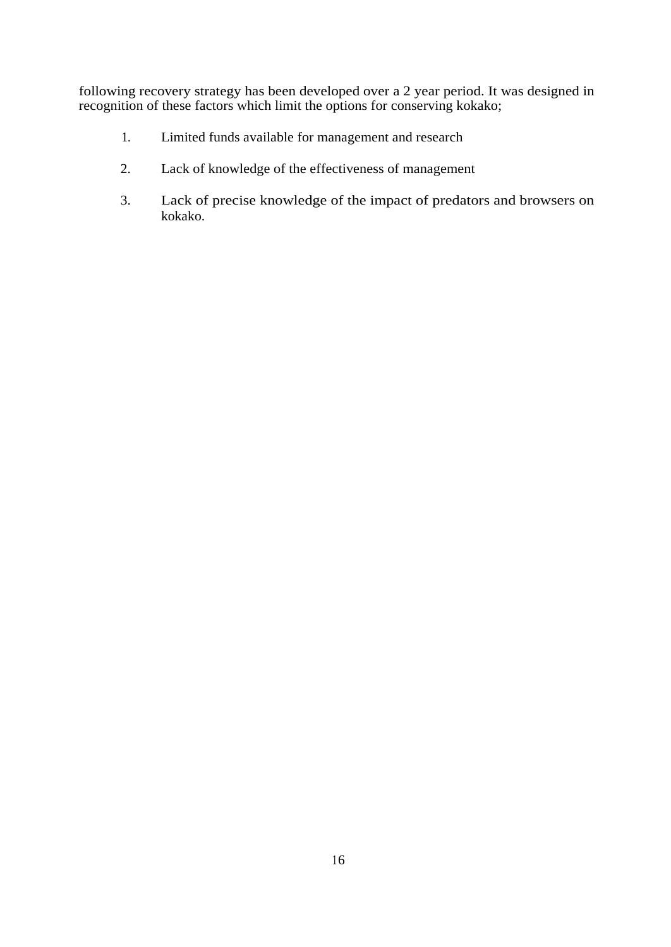following recovery strategy has been developed over a 2 year period. It was designed in recognition of these factors which limit the options for conserving kokako;

- 1. Limited funds available for management and research
- 2. Lack of knowledge of the effectiveness of management
- 3. Lack of precise knowledge of the impact of predators and browsers on kokako.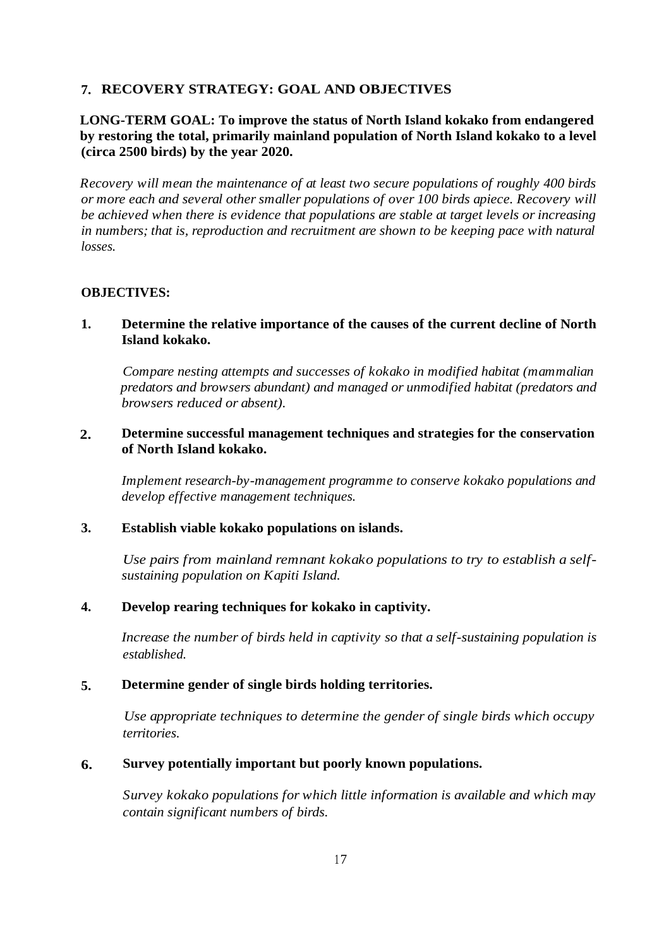# **7. RECOVERY STRATEGY: GOAL AND OBJECTIVES**

# **LONG-TERM GOAL: To improve the status of North Island kokako from endangered by restoring the total, primarily mainland population of North Island kokako to a level (circa 2500 birds) by the year 2020.**

*Recovery will mean the maintenance of at least two secure populations of roughly 400 birds or more each and several other smaller populations of over 100 birds apiece. Recovery will be achieved when there is evidence that populations are stable at target levels or increasing in numbers; that is, reproduction and recruitment are shown to be keeping pace with natural losses.*

#### **OBJECTIVES:**

**1. Determine the relative importance of the causes of the current decline of North Island kokako.**

*Compare nesting attempts and successes of kokako in modified habitat (mammalian predators and browsers abundant) and managed or unmodified habitat (predators and browsers reduced or absent).*

#### **2. Determine successful management techniques and strategies for the conservation of North Island kokako.**

*Implement research-by-management programme to conserve kokako populations and develop effective management techniques.*

#### **3. Establish viable kokako populations on islands.**

*Use pairs from mainland remnant kokako populations to try to establish a selfsustaining population on Kapiti Island.*

#### **4. Develop rearing techniques for kokako in captivity.**

*Increase the number of birds held in captivity so that a self-sustaining population is established.*

#### **5. Determine gender of single birds holding territories.**

*Use appropriate techniques to determine the gender of single birds which occupy territories.*

#### **6. Survey potentially important but poorly known populations.**

*Survey kokako populations for which little information is available and which may contain significant numbers of birds.*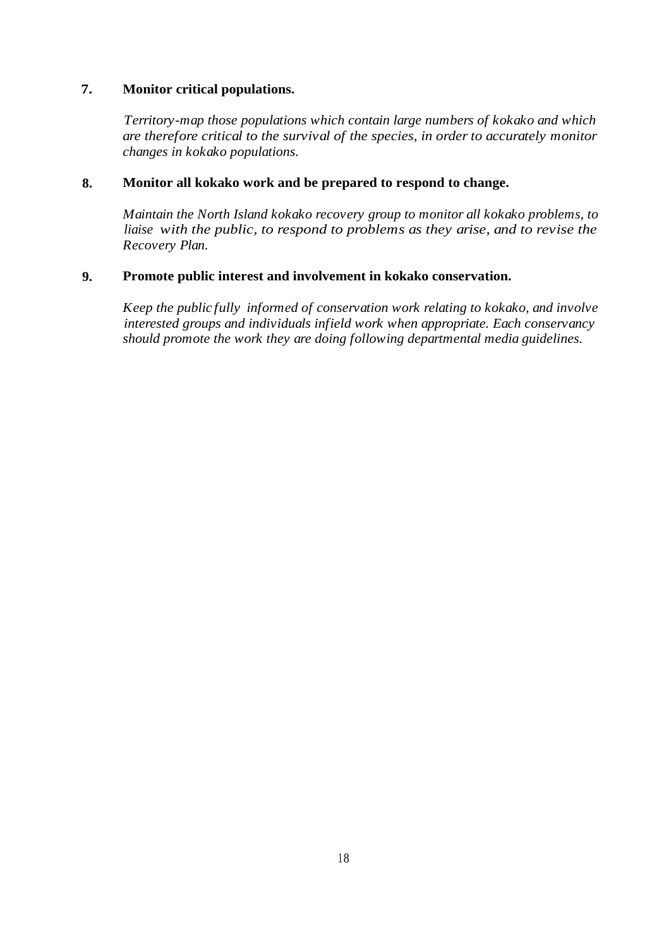# **7. Monitor critical populations.**

*Territory-map those populations which contain large numbers of kokako and which are therefore critical to the survival of the species, in order to accurately monitor changes in kokako populations.*

## **8. Monitor all kokako work and be prepared to respond to change.**

*Maintain the North Island kokako recovery group to monitor all kokako problems, to liaise with the public, to respond to problems as they arise, and to revise the Recovery Plan.*

## **9. Promote public interest and involvement in kokako conservation.**

*Keep the public fully informed of conservation work relating to kokako, and involve interested groups and individuals infield work when appropriate. Each conservancy should promote the work they are doing following departmental media guidelines.*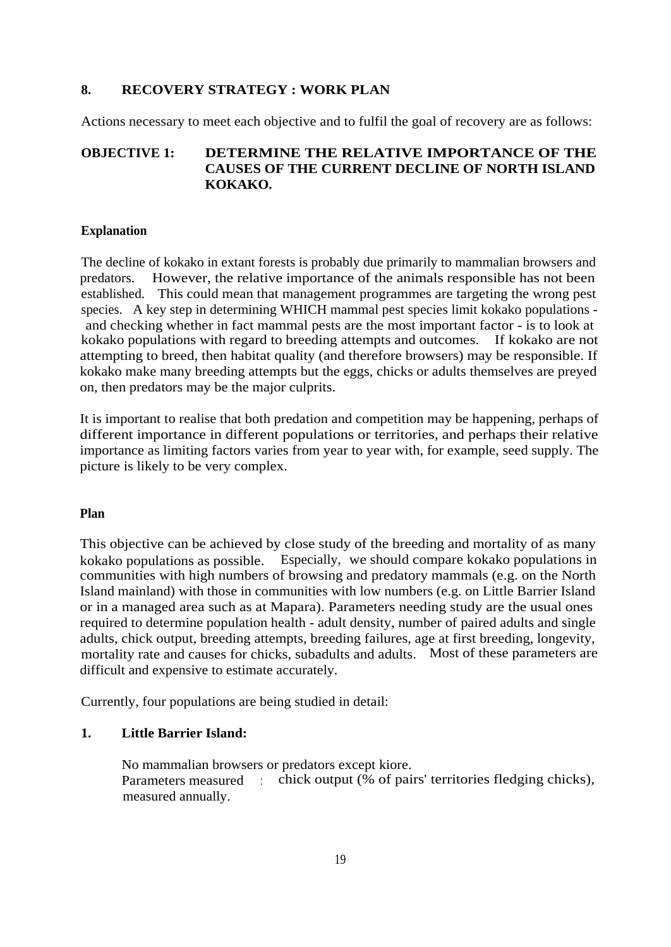# **8. RECOVERY STRATEGY : WORK PLAN**

Actions necessary to meet each objective and to fulfil the goal of recovery are as follows:

# **OBJECTIVE 1: DETERMINE THE RELATIVE IMPORTANCE OF THE CAUSES OF THE CURRENT DECLINE OF NORTH ISLAND KOKAKO.**

#### **Explanation**

The decline of kokako in extant forests is probably due primarily to mammalian browsers and predators. However, the relative importance of the animals responsible has not been established. This could mean that management programmes are targeting the wrong pest species. A key step in determining WHICH mammal pest species limit kokako populations and checking whether in fact mammal pests are the most important factor - is to look at kokako populations with regard to breeding attempts and outcomes. If kokako are not attempting to breed, then habitat quality (and therefore browsers) may be responsible. If kokako make many breeding attempts but the eggs, chicks or adults themselves are preyed on, then predators may be the major culprits.

It is important to realise that both predation and competition may be happening, perhaps of different importance in different populations or territories, and perhaps their relative importance as limiting factors varies from year to year with, for example, seed supply. The picture is likely to be very complex.

#### **Plan**

This objective can be achieved by close study of the breeding and mortality of as many kokako populations as possible. Especially, we should compare kokako populations in communities with high numbers of browsing and predatory mammals (e.g. on the North Island mainland) with those in communities with low numbers (e.g. on Little Barrier Island or in a managed area such as at Mapara). Parameters needing study are the usual ones required to determine population health - adult density, number of paired adults and single adults, chick output, breeding attempts, breeding failures, age at first breeding, longevity, mortality rate and causes for chicks, subadults and adults. Most of these parameters are difficult and expensive to estimate accurately.

Currently, four populations are being studied in detail:

### **1. Little Barrier Island:**

No mammalian browsers or predators except kiore. Parameters measured : chick output (% of pairs' territories fledging chicks), measured annually.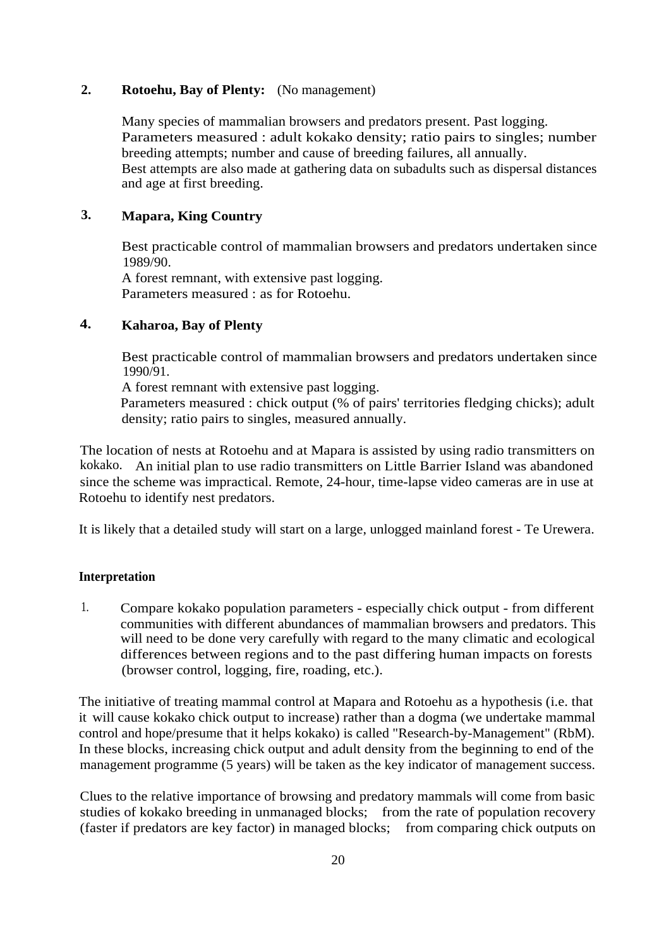## **2. Rotoehu, Bay of Plenty:** (No management)

Many species of mammalian browsers and predators present. Past logging. Parameters measured : adult kokako density; ratio pairs to singles; number breeding attempts; number and cause of breeding failures, all annually. Best attempts are also made at gathering data on subadults such as dispersal distances and age at first breeding.

# **3. Mapara, King Country**

Best practicable control of mammalian browsers and predators undertaken since 1989/90.

A forest remnant, with extensive past logging. Parameters measured : as for Rotoehu.

# **4. Kaharoa, Bay of Plenty**

Best practicable control of mammalian browsers and predators undertaken since 1990/91.

A forest remnant with extensive past logging.

Parameters measured : chick output (% of pairs' territories fledging chicks); adult density; ratio pairs to singles, measured annually.

The location of nests at Rotoehu and at Mapara is assisted by using radio transmitters on kokako. An initial plan to use radio transmitters on Little Barrier Island was abandoned since the scheme was impractical. Remote, 24-hour, time-lapse video cameras are in use at Rotoehu to identify nest predators.

It is likely that a detailed study will start on a large, unlogged mainland forest - Te Urewera.

### **Interpretation**

1. Compare kokako population parameters - especially chick output - from different communities with different abundances of mammalian browsers and predators. This will need to be done very carefully with regard to the many climatic and ecological differences between regions and to the past differing human impacts on forests (browser control, logging, fire, roading, etc.).

The initiative of treating mammal control at Mapara and Rotoehu as a hypothesis (i.e. that it will cause kokako chick output to increase) rather than a dogma (we undertake mammal control and hope/presume that it helps kokako) is called "Research-by-Management" (RbM). In these blocks, increasing chick output and adult density from the beginning to end of the management programme (5 years) will be taken as the key indicator of management success.

Clues to the relative importance of browsing and predatory mammals will come from basic studies of kokako breeding in unmanaged blocks; from the rate of population recovery (faster if predators are key factor) in managed blocks; from comparing chick outputs on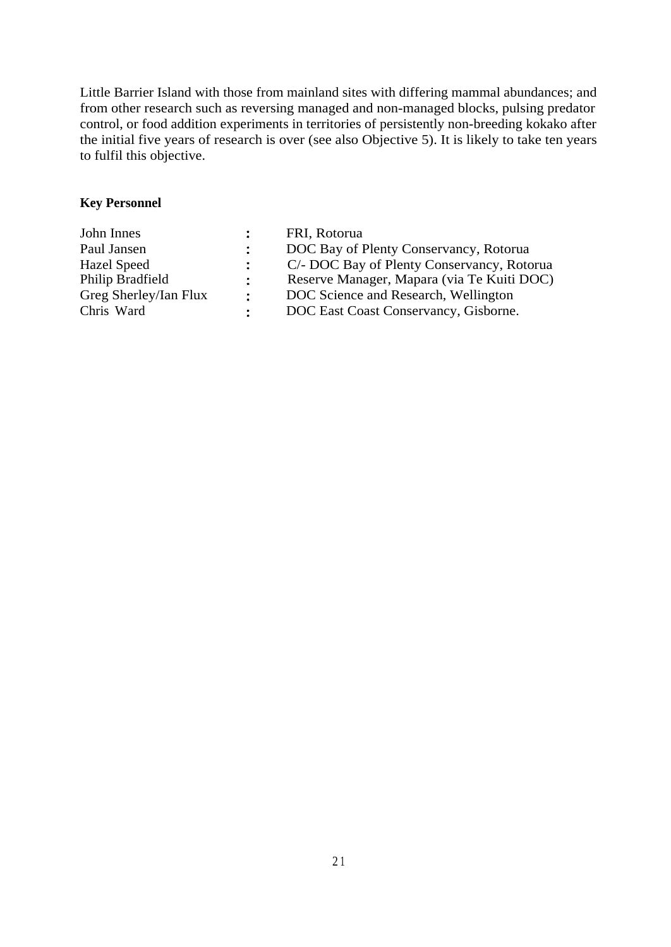Little Barrier Island with those from mainland sites with differing mammal abundances; and from other research such as reversing managed and non-managed blocks, pulsing predator control, or food addition experiments in territories of persistently non-breeding kokako after the initial five years of research is over (see also Objective 5). It is likely to take ten years to fulfil this objective.

# **Key Personnel**

| John Innes            |                            | FRI, Rotorua                               |
|-----------------------|----------------------------|--------------------------------------------|
| Paul Jansen           |                            | DOC Bay of Plenty Conservancy, Rotorua     |
| <b>Hazel Speed</b>    |                            | C/- DOC Bay of Plenty Conservancy, Rotorua |
| Philip Bradfield      | $\mathcal{L}^{\text{max}}$ | Reserve Manager, Mapara (via Te Kuiti DOC) |
| Greg Sherley/Ian Flux | $\ddot{\phantom{a}}$       | DOC Science and Research, Wellington       |
| Chris Ward            |                            | DOC East Coast Conservancy, Gisborne.      |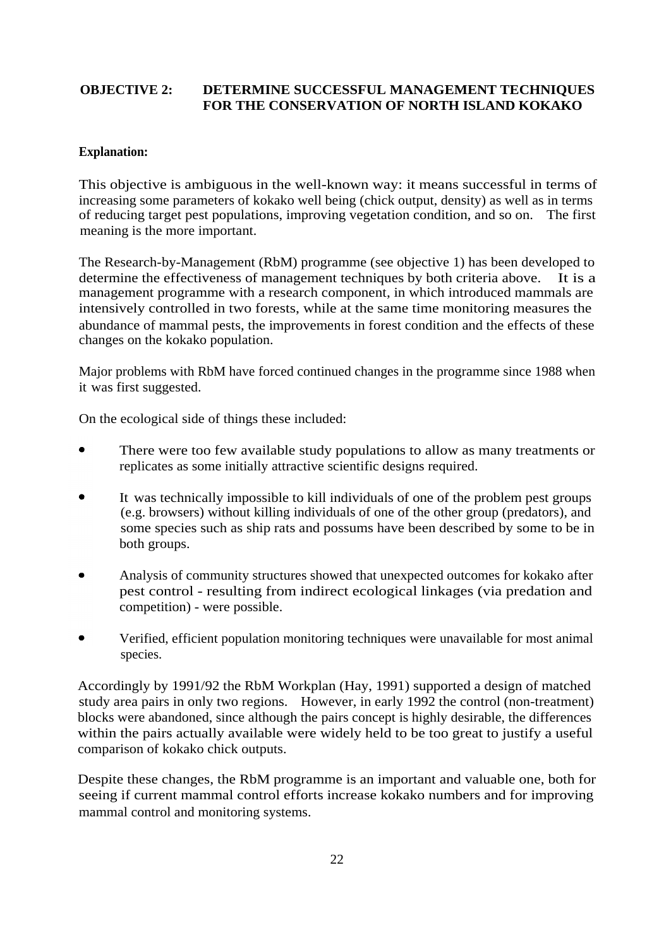# **OBJECTIVE 2: DETERMINE SUCCESSFUL MANAGEMENT TECHNIQUES FOR THE CONSERVATION OF NORTH ISLAND KOKAKO**

# **Explanation:**

This objective is ambiguous in the well-known way: it means successful in terms of increasing some parameters of kokako well being (chick output, density) as well as in terms of reducing target pest populations, improving vegetation condition, and so on. The first meaning is the more important.

The Research-by-Management (RbM) programme (see objective 1) has been developed to determine the effectiveness of management techniques by both criteria above. It is a management programme with a research component, in which introduced mammals are intensively controlled in two forests, while at the same time monitoring measures the abundance of mammal pests, the improvements in forest condition and the effects of these changes on the kokako population.

Major problems with RbM have forced continued changes in the programme since 1988 when it was first suggested.

On the ecological side of things these included:

- There were too few available study populations to allow as many treatments or replicates as some initially attractive scientific designs required.
- It was technically impossible to kill individuals of one of the problem pest groups (e.g. browsers) without killing individuals of one of the other group (predators), and some species such as ship rats and possums have been described by some to be in both groups.
- Analysis of community structures showed that unexpected outcomes for kokako after pest control - resulting from indirect ecological linkages (via predation and competition) - were possible.
- Verified, efficient population monitoring techniques were unavailable for most animal species.

Accordingly by 1991/92 the RbM Workplan (Hay, 1991) supported a design of matched study area pairs in only two regions. However, in early 1992 the control (non-treatment) blocks were abandoned, since although the pairs concept is highly desirable, the differences within the pairs actually available were widely held to be too great to justify a useful comparison of kokako chick outputs.

Despite these changes, the RbM programme is an important and valuable one, both for seeing if current mammal control efforts increase kokako numbers and for improving mammal control and monitoring systems.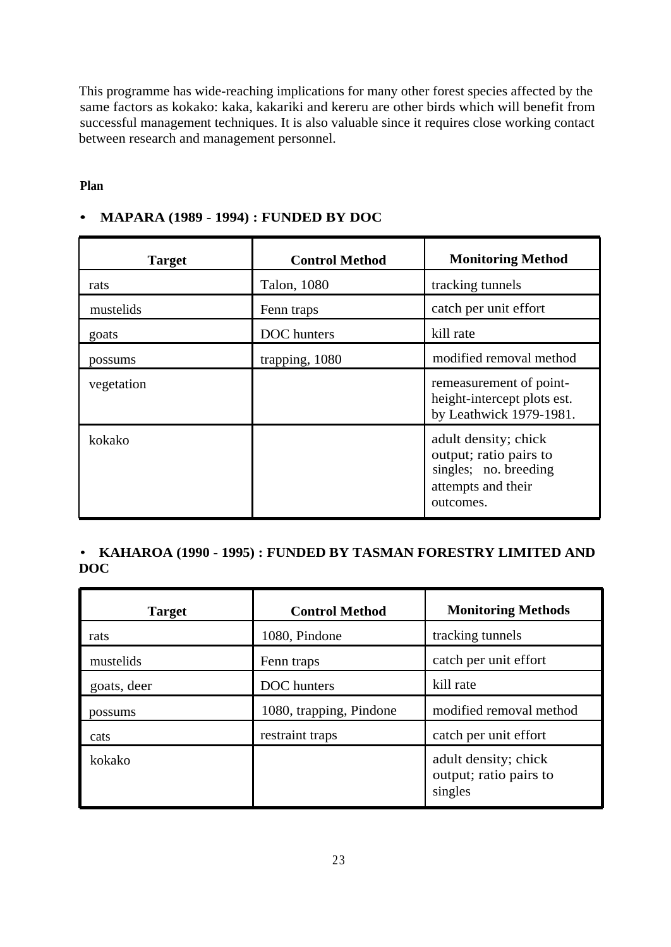This programme has wide-reaching implications for many other forest species affected by the same factors as kokako: kaka, kakariki and kereru are other birds which will benefit from successful management techniques. It is also valuable since it requires close working contact between research and management personnel.

# **Plan**

# **• MAPARA (1989 - 1994) : FUNDED BY DOC**

| <b>Target</b> | <b>Control Method</b> | <b>Monitoring Method</b>                                                                                   |
|---------------|-----------------------|------------------------------------------------------------------------------------------------------------|
| rats          | Talon, 1080           | tracking tunnels                                                                                           |
| mustelids     | Fenn traps            | catch per unit effort                                                                                      |
| goats         | DOC hunters           | kill rate                                                                                                  |
| possums       | trapping, 1080        | modified removal method                                                                                    |
| vegetation    |                       | remeasurement of point-<br>height-intercept plots est.<br>by Leathwick 1979-1981.                          |
| kokako        |                       | adult density; chick<br>output; ratio pairs to<br>singles; no. breeding<br>attempts and their<br>outcomes. |

# • **KAHAROA (1990 - 1995) : FUNDED BY TASMAN FORESTRY LIMITED AND DOC**

| <b>Target</b> | <b>Control Method</b>   | <b>Monitoring Methods</b>                                 |
|---------------|-------------------------|-----------------------------------------------------------|
| rats          | 1080, Pindone           | tracking tunnels                                          |
| mustelids     | Fenn traps              | catch per unit effort                                     |
| goats, deer   | DOC hunters             | kill rate                                                 |
| possums       | 1080, trapping, Pindone | modified removal method                                   |
| cats          | restraint traps         | catch per unit effort                                     |
| kokako        |                         | adult density; chick<br>output; ratio pairs to<br>singles |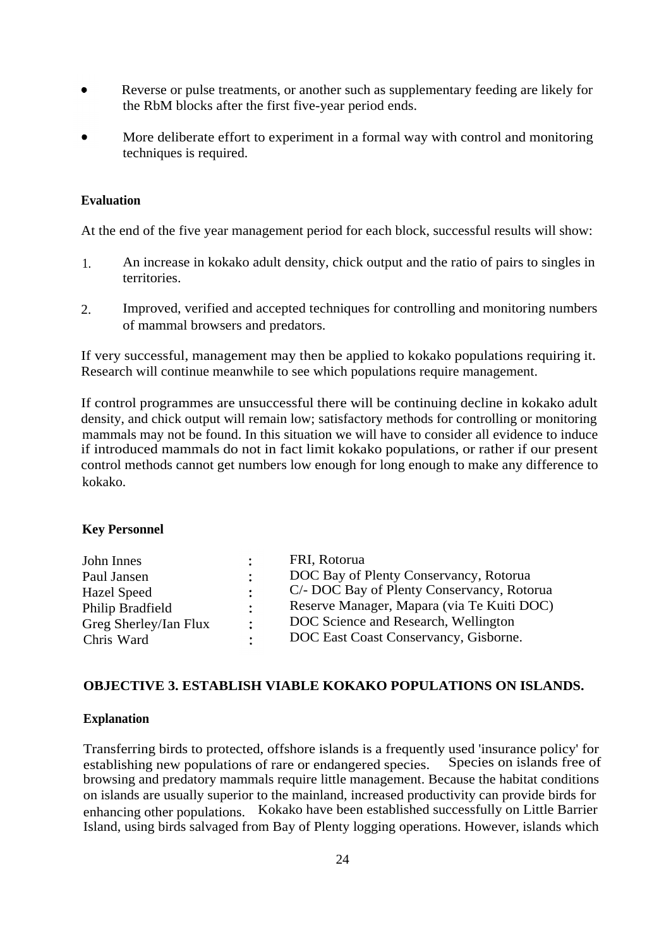- Reverse or pulse treatments, or another such as supplementary feeding are likely for the RbM blocks after the first five-year period ends.
- More deliberate effort to experiment in a formal way with control and monitoring techniques is required.

#### **Evaluation**

At the end of the five year management period for each block, successful results will show:

- 1. An increase in kokako adult density, chick output and the ratio of pairs to singles in territories.
- 2. Improved, verified and accepted techniques for controlling and monitoring numbers of mammal browsers and predators.

If very successful, management may then be applied to kokako populations requiring it. Research will continue meanwhile to see which populations require management.

If control programmes are unsuccessful there will be continuing decline in kokako adult density, and chick output will remain low; satisfactory methods for controlling or monitoring mammals may not be found. In this situation we will have to consider all evidence to induce if introduced mammals do not in fact limit kokako populations, or rather if our present control methods cannot get numbers low enough for long enough to make any difference to kokako.

#### **Key Personnel**

|                           | FRI, Rotorua                               |
|---------------------------|--------------------------------------------|
| $\ddot{\phantom{a}}$      | DOC Bay of Plenty Conservancy, Rotorua     |
| $\mathbf{L}$              | C/- DOC Bay of Plenty Conservancy, Rotorua |
| $\mathbb{R}^{\mathbb{Z}}$ | Reserve Manager, Mapara (via Te Kuiti DOC) |
| $\ddot{\phantom{a}}$      | DOC Science and Research, Wellington       |
| $\bullet$                 | DOC East Coast Conservancy, Gisborne.      |
|                           |                                            |

## **OBJECTIVE 3. ESTABLISH VIABLE KOKAKO POPULATIONS ON ISLANDS.**

#### **Explanation**

Transferring birds to protected, offshore islands is a frequently used 'insurance policy' for establishing new populations of rare or endangered species Species on islands free of establishing new populations of rare or endangered species. browsing and predatory mammals require little management. Because the habitat conditions on islands are usually superior to the mainland, increased productivity can provide birds for enhancing other populations. Kokako have been established successfully on Little Barrier Island, using birds salvaged from Bay of Plenty logging operations. However, islands which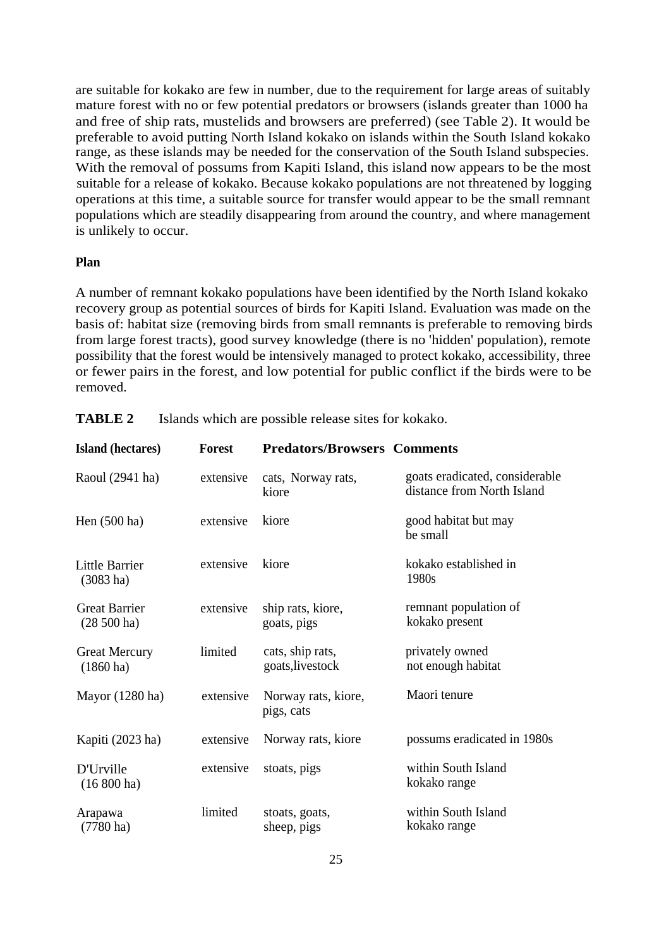are suitable for kokako are few in number, due to the requirement for large areas of suitably mature forest with no or few potential predators or browsers (islands greater than 1000 ha and free of ship rats, mustelids and browsers are preferred) (see Table 2). It would be preferable to avoid putting North Island kokako on islands within the South Island kokako range, as these islands may be needed for the conservation of the South Island subspecies. With the removal of possums from Kapiti Island, this island now appears to be the most suitable for a release of kokako. Because kokako populations are not threatened by logging operations at this time, a suitable source for transfer would appear to be the small remnant populations which are steadily disappearing from around the country, and where management is unlikely to occur.

#### **Plan**

A number of remnant kokako populations have been identified by the North Island kokako recovery group as potential sources of birds for Kapiti Island. Evaluation was made on the basis of: habitat size (removing birds from small remnants is preferable to removing birds from large forest tracts), good survey knowledge (there is no 'hidden' population), remote possibility that the forest would be intensively managed to protect kokako, accessibility, three or fewer pairs in the forest, and low potential for public conflict if the birds were to be removed.

| Island (hectares)                            | <b>Forest</b> | <b>Predators/Browsers Comments</b>   |                                                              |
|----------------------------------------------|---------------|--------------------------------------|--------------------------------------------------------------|
| Raoul (2941 ha)                              | extensive     | cats, Norway rats,<br>kiore          | goats eradicated, considerable<br>distance from North Island |
| Hen $(500 \text{ ha})$                       | extensive     | kiore                                | good habitat but may<br>be small                             |
| <b>Little Barrier</b><br>$(3083 \text{ ha})$ | extensive     | kiore                                | kokako established in<br>1980s                               |
| <b>Great Barrier</b><br>$(28500)$ ha)        | extensive     | ship rats, kiore,<br>goats, pigs     | remnant population of<br>kokako present                      |
| <b>Great Mercury</b><br>$(1860 \text{ ha})$  | limited       | cats, ship rats,<br>goats, livestock | privately owned<br>not enough habitat                        |
| Mayor (1280 ha)                              | extensive     | Norway rats, kiore,<br>pigs, cats    | Maori tenure                                                 |
| Kapiti (2023 ha)                             | extensive     | Norway rats, kiore                   | possums eradicated in 1980s                                  |
| D'Urville<br>$(16800 \text{ ha})$            | extensive     | stoats, pigs                         | within South Island<br>kokako range                          |
| Arapawa<br>$(7780 \text{ ha})$               | limited       | stoats, goats,<br>sheep, pigs        | within South Island<br>kokako range                          |

**TABLE 2** Islands which are possible release sites for kokako.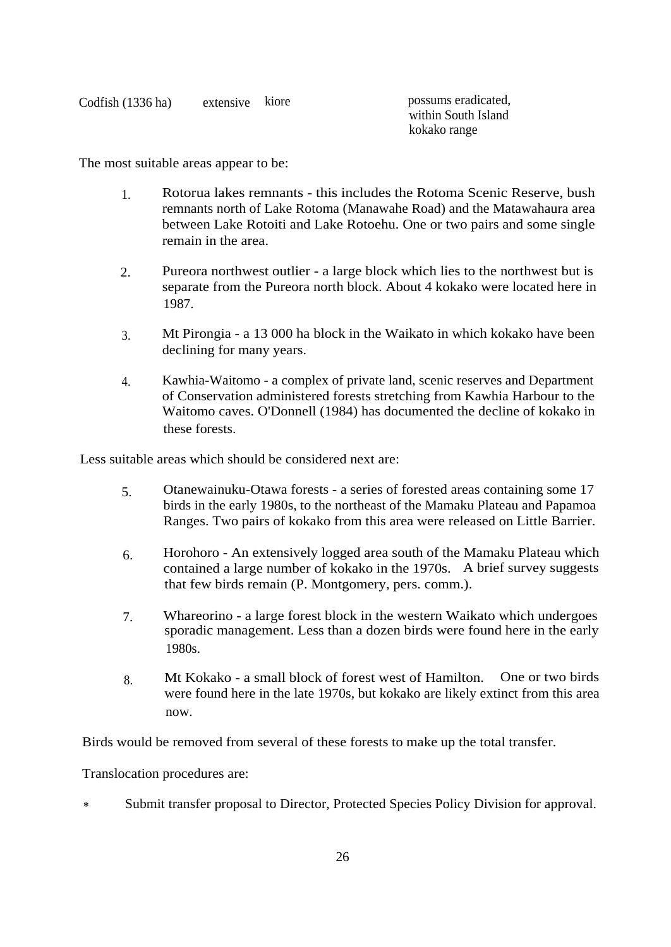| Codfish $(1336$ ha) | extensive kiore | possums eradicated, |
|---------------------|-----------------|---------------------|
|                     |                 | within South Island |
|                     |                 | kokako range        |

The most suitable areas appear to be:

- 1. Rotorua lakes remnants this includes the Rotoma Scenic Reserve, bush remnants north of Lake Rotoma (Manawahe Road) and the Matawahaura area between Lake Rotoiti and Lake Rotoehu. One or two pairs and some single remain in the area.
- 2. Pureora northwest outlier a large block which lies to the northwest but is separate from the Pureora north block. About 4 kokako were located here in 1987.
- 3. Mt Pirongia a 13 000 ha block in the Waikato in which kokako have been declining for many years.
- 4. Kawhia-Waitomo a complex of private land, scenic reserves and Department of Conservation administered forests stretching from Kawhia Harbour to the Waitomo caves. O'Donnell (1984) has documented the decline of kokako in these forests.

Less suitable areas which should be considered next are:

- 5. Otanewainuku-Otawa forests a series of forested areas containing some 17 birds in the early 1980s, to the northeast of the Mamaku Plateau and Papamoa Ranges. Two pairs of kokako from this area were released on Little Barrier.
- 6. Horohoro An extensively logged area south of the Mamaku Plateau which contained a large number of kokako in the 1970s. A brief survey suggests that few birds remain (P. Montgomery, pers. comm.).
- 7. Whareorino a large forest block in the western Waikato which undergoes sporadic management. Less than a dozen birds were found here in the early 1980s.
- 8. Mt Kokako a small block of forest west of Hamilton. One or two birds were found here in the late 1970s, but kokako are likely extinct from this area now.

Birds would be removed from several of these forests to make up the total transfer.

Translocation procedures are:

\* Submit transfer proposal to Director, Protected Species Policy Division for approval.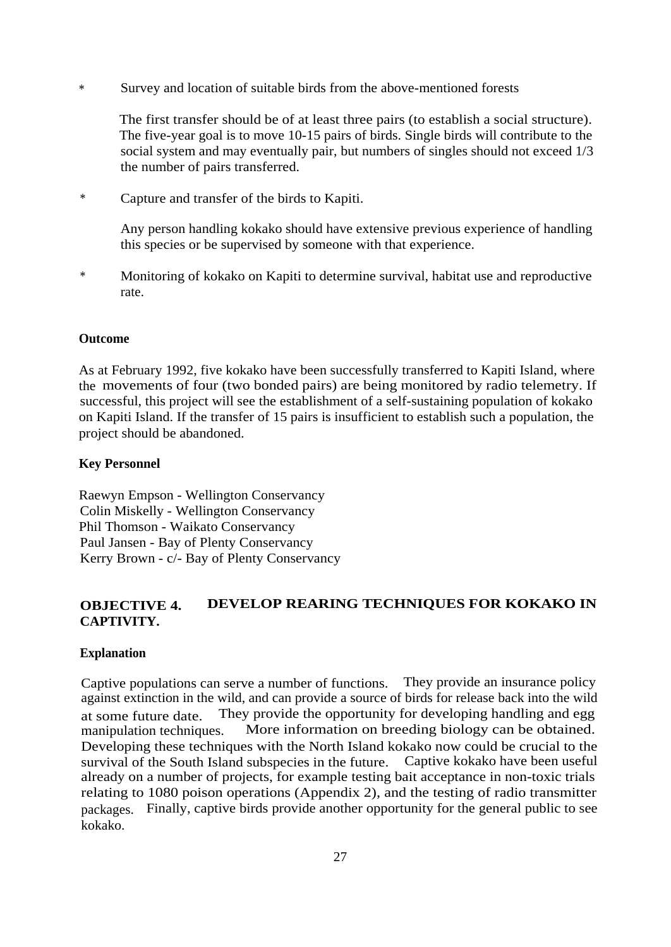\* Survey and location of suitable birds from the above-mentioned forests

The first transfer should be of at least three pairs (to establish a social structure). The five-year goal is to move 10-15 pairs of birds. Single birds will contribute to the social system and may eventually pair, but numbers of singles should not exceed 1/3 the number of pairs transferred.

\* Capture and transfer of the birds to Kapiti.

Any person handling kokako should have extensive previous experience of handling this species or be supervised by someone with that experience.

\* Monitoring of kokako on Kapiti to determine survival, habitat use and reproductive rate.

#### **Outcome**

As at February 1992, five kokako have been successfully transferred to Kapiti Island, where the movements of four (two bonded pairs) are being monitored by radio telemetry. If successful, this project will see the establishment of a self-sustaining population of kokako on Kapiti Island. If the transfer of 15 pairs is insufficient to establish such a population, the project should be abandoned.

#### **Key Personnel**

Raewyn Empson - Wellington Conservancy Colin Miskelly - Wellington Conservancy Phil Thomson - Waikato Conservancy Paul Jansen - Bay of Plenty Conservancy Kerry Brown - c/- Bay of Plenty Conservancy

# **OBJECTIVE 4. DEVELOP REARING TECHNIQUES FOR KOKAKO IN CAPTIVITY.**

#### **Explanation**

Captive populations can serve a number of functions. They provide an insurance policy against extinction in the wild, and can provide a source of birds for release back into the wild at some future date. They provide the opportunity for developing handling and egg manipulation techniques. More information on breeding biology can be obtained. Developing these techniques with the North Island kokako now could be crucial to the survival of the South Island subspecies in the future. Captive kokako have been useful already on a number of projects, for example testing bait acceptance in non-toxic trials relating to 1080 poison operations (Appendix 2), and the testing of radio transmitter packages. Finally, captive birds provide another opportunity for the general public to see kokako.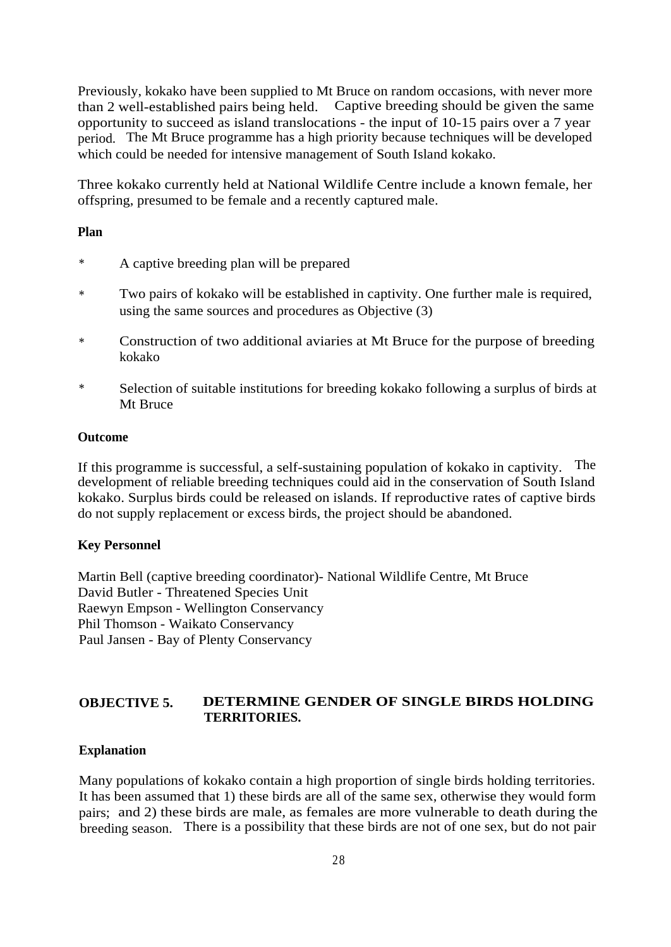Previously, kokako have been supplied to Mt Bruce on random occasions, with never more than 2 well-established pairs being held. Captive breeding should be given the same opportunity to succeed as island translocations - the input of 10-15 pairs over a 7 year period. The Mt Bruce programme has a high priority because techniques will be developed which could be needed for intensive management of South Island kokako.

Three kokako currently held at National Wildlife Centre include a known female, her offspring, presumed to be female and a recently captured male.

#### **Plan**

- \* A captive breeding plan will be prepared
- \* Two pairs of kokako will be established in captivity. One further male is required, using the same sources and procedures as Objective (3)
- \* Construction of two additional aviaries at Mt Bruce for the purpose of breeding kokako
- \* Selection of suitable institutions for breeding kokako following a surplus of birds at Mt Bruce

#### **Outcome**

If this programme is successful, a self-sustaining population of kokako in captivity. The development of reliable breeding techniques could aid in the conservation of South Island kokako. Surplus birds could be released on islands. If reproductive rates of captive birds do not supply replacement or excess birds, the project should be abandoned.

### **Key Personnel**

Martin Bell (captive breeding coordinator)- National Wildlife Centre, Mt Bruce David Butler - Threatened Species Unit Raewyn Empson - Wellington Conservancy Phil Thomson - Waikato Conservancy Paul Jansen - Bay of Plenty Conservancy

# **OBJECTIVE 5. DETERMINE GENDER OF SINGLE BIRDS HOLDING TERRITORIES.**

### **Explanation**

Many populations of kokako contain a high proportion of single birds holding territories. It has been assumed that 1) these birds are all of the same sex, otherwise they would form pairs; and 2) these birds are male, as females are more vulnerable to death during the breeding season. There is a possibility that these birds are not of one sex, but do not pair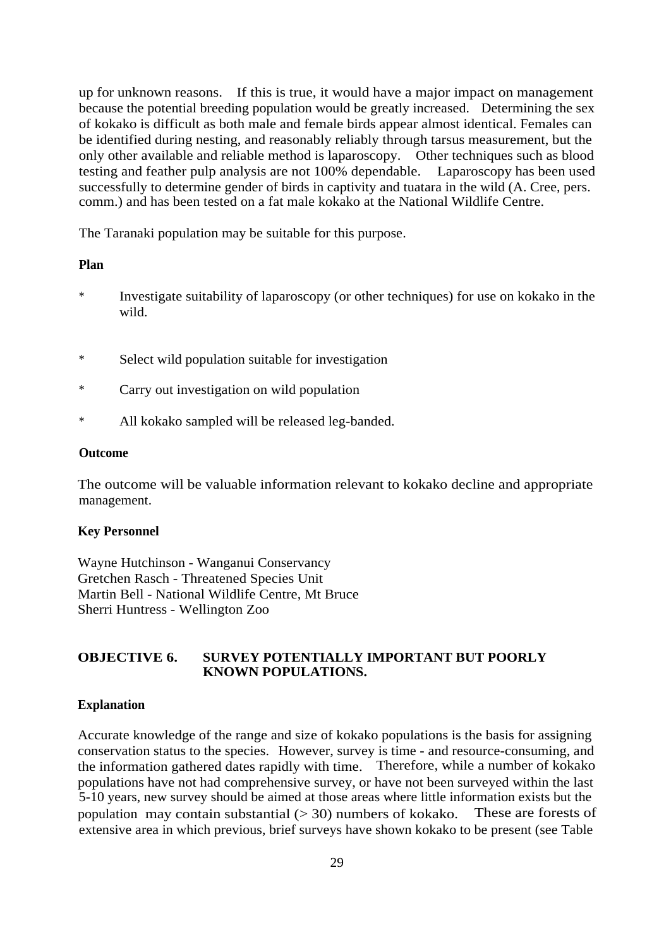up for unknown reasons. If this is true, it would have a major impact on management because the potential breeding population would be greatly increased. Determining the sex of kokako is difficult as both male and female birds appear almost identical. Females can be identified during nesting, and reasonably reliably through tarsus measurement, but the only other available and reliable method is laparoscopy. Other techniques such as blood testing and feather pulp analysis are not 100% dependable. Laparoscopy has been used successfully to determine gender of birds in captivity and tuatara in the wild (A. Cree, pers. comm.) and has been tested on a fat male kokako at the National Wildlife Centre.

The Taranaki population may be suitable for this purpose.

#### **Plan**

- \* Investigate suitability of laparoscopy (or other techniques) for use on kokako in the wild.
- \* Select wild population suitable for investigation
- \* Carry out investigation on wild population
- \* All kokako sampled will be released leg-banded.

#### **Outcome**

The outcome will be valuable information relevant to kokako decline and appropriate management.

## **Key Personnel**

Wayne Hutchinson - Wanganui Conservancy Gretchen Rasch - Threatened Species Unit Martin Bell - National Wildlife Centre, Mt Bruce Sherri Huntress - Wellington Zoo

# **OBJECTIVE 6. SURVEY POTENTIALLY IMPORTANT BUT POORLY KNOWN POPULATIONS.**

### **Explanation**

Accurate knowledge of the range and size of kokako populations is the basis for assigning conservation status to the species. However, survey is time - and resource-consuming, and the information gathered dates rapidly with time. Therefore, while a number of kokako populations have not had comprehensive survey, or have not been surveyed within the last 5-10 years, new survey should be aimed at those areas where little information exists but the population may contain substantial  $(> 30)$  numbers of kokako. These are forests of extensive area in which previous, brief surveys have shown kokako to be present (see Table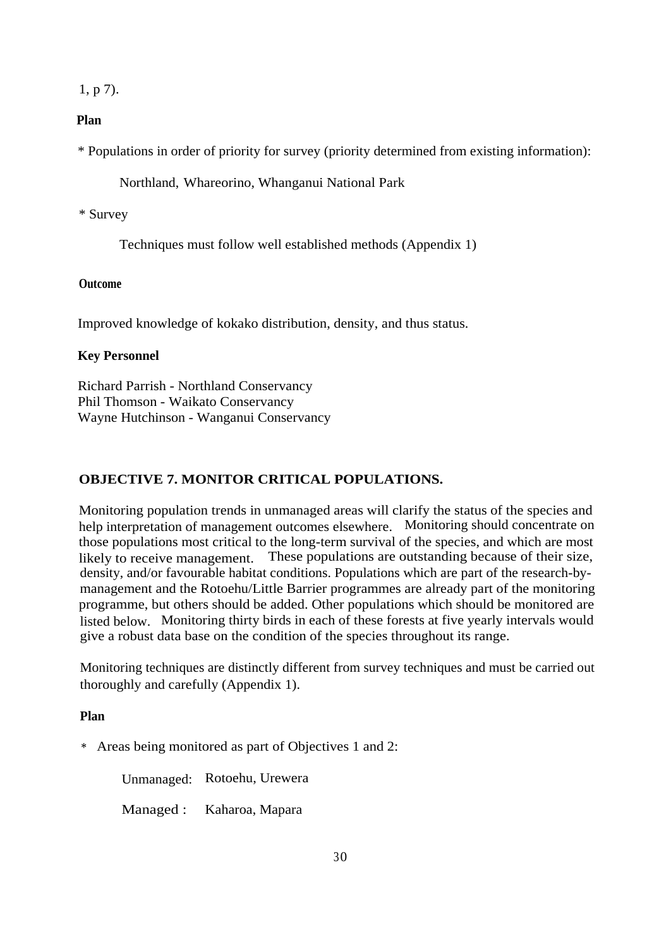1, p 7).

#### **Plan**

\* Populations in order of priority for survey (priority determined from existing information):

Northland, Whareorino, Whanganui National Park

#### \* Survey

Techniques must follow well established methods (Appendix 1)

#### **Outcome**

Improved knowledge of kokako distribution, density, and thus status.

#### **Key Personnel**

Richard Parrish - Northland Conservancy Phil Thomson - Waikato Conservancy Wayne Hutchinson - Wanganui Conservancy

# **OBJECTIVE 7. MONITOR CRITICAL POPULATIONS.**

Monitoring population trends in unmanaged areas will clarify the status of the species and help interpretation of management outcomes elsewhere. Monitoring should concentrate on those populations most critical to the long-term survival of the species, and which are most likely to receive management. These populations are outstanding because of their size, density, and/or favourable habitat conditions. Populations which are part of the research-bymanagement and the Rotoehu/Little Barrier programmes are already part of the monitoring programme, but others should be added. Other populations which should be monitored are listed below. Monitoring thirty birds in each of these forests at five yearly intervals would give a robust data base on the condition of the species throughout its range.

Monitoring techniques are distinctly different from survey techniques and must be carried out thoroughly and carefully (Appendix 1).

### **Plan**

\* Areas being monitored as part of Objectives 1 and 2:

Unmanaged: Rotoehu, Urewera

Managed : Kaharoa, Mapara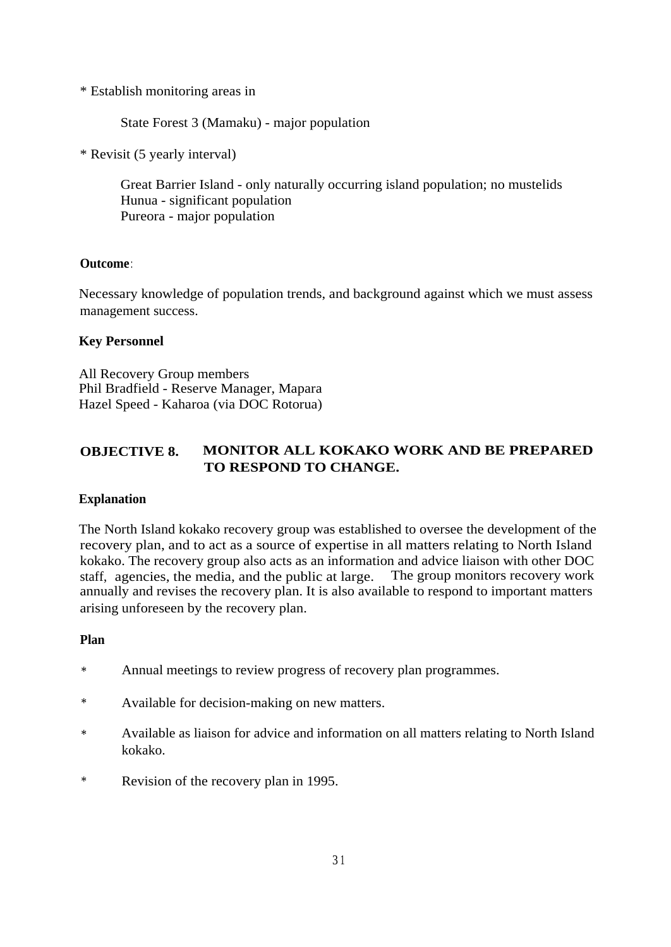\* Establish monitoring areas in

State Forest 3 (Mamaku) - major population

\* Revisit (5 yearly interval)

Great Barrier Island - only naturally occurring island population; no mustelids Hunua - significant population Pureora - major population

# **Outcome**:

Necessary knowledge of population trends, and background against which we must assess management success.

# **Key Personnel**

All Recovery Group members Phil Bradfield - Reserve Manager, Mapara Hazel Speed - Kaharoa (via DOC Rotorua)

# **OBJECTIVE 8. MONITOR ALL KOKAKO WORK AND BE PREPARED TO RESPOND TO CHANGE.**

### **Explanation**

The North Island kokako recovery group was established to oversee the development of the recovery plan, and to act as a source of expertise in all matters relating to North Island kokako. The recovery group also acts as an information and advice liaison with other DOC staff, agencies, the media, and the public at large. The group monitors recovery work annually and revises the recovery plan. It is also available to respond to important matters arising unforeseen by the recovery plan.

### **Plan**

- \* Annual meetings to review progress of recovery plan programmes.
- \* Available for decision-making on new matters.
- \* Available as liaison for advice and information on all matters relating to North Island kokako.
- \* Revision of the recovery plan in 1995.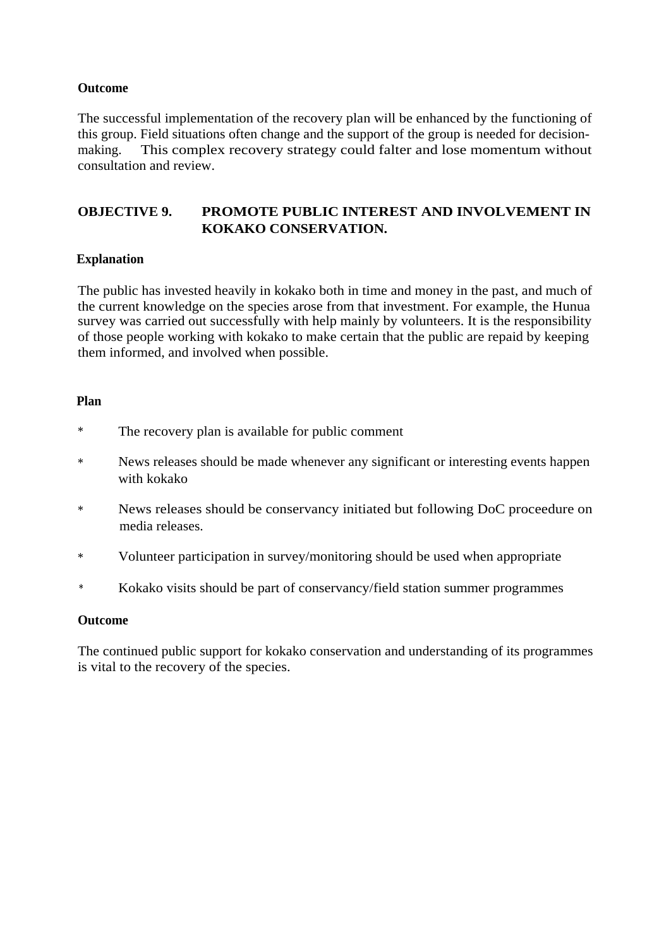# **Outcome**

The successful implementation of the recovery plan will be enhanced by the functioning of this group. Field situations often change and the support of the group is needed for decisionmaking. This complex recovery strategy could falter and lose momentum without consultation and review.

# **OBJECTIVE 9. PROMOTE PUBLIC INTEREST AND INVOLVEMENT IN KOKAKO CONSERVATION.**

# **Explanation**

The public has invested heavily in kokako both in time and money in the past, and much of the current knowledge on the species arose from that investment. For example, the Hunua survey was carried out successfully with help mainly by volunteers. It is the responsibility of those people working with kokako to make certain that the public are repaid by keeping them informed, and involved when possible.

# **Plan**

- \* The recovery plan is available for public comment
- \* News releases should be made whenever any significant or interesting events happen with kokako
- \* News releases should be conservancy initiated but following DoC proceedure on media releases.
- \* Volunteer participation in survey/monitoring should be used when appropriate
- \* Kokako visits should be part of conservancy/field station summer programmes

# **Outcome**

The continued public support for kokako conservation and understanding of its programmes is vital to the recovery of the species.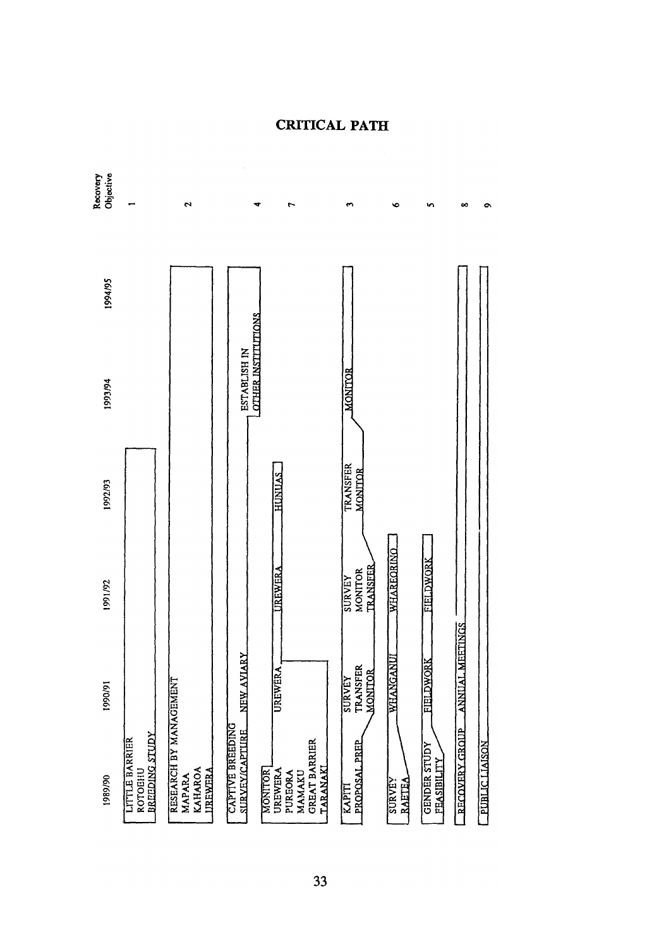

**CRITICAL PATH**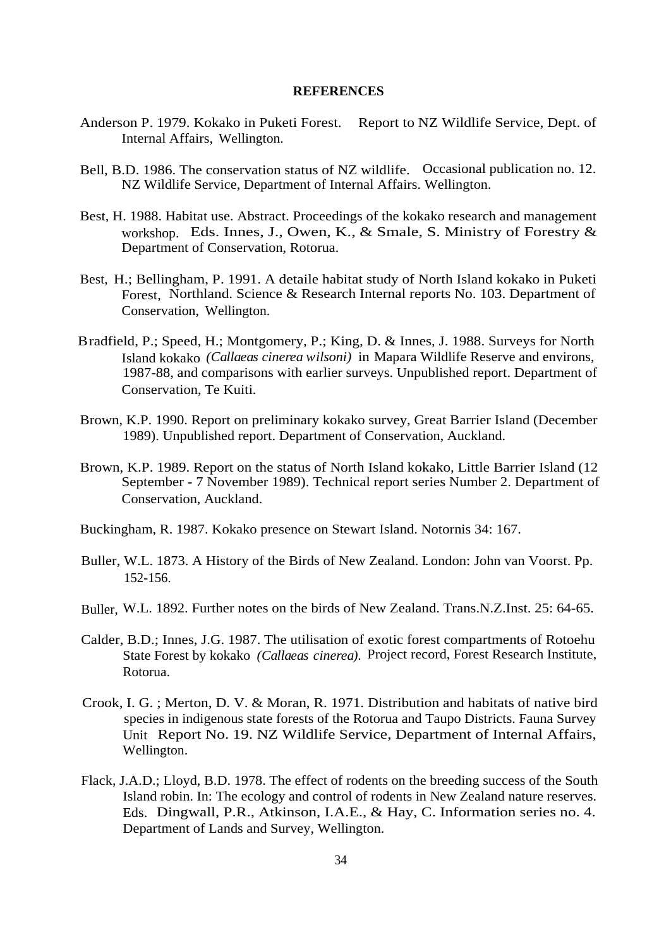#### **REFERENCES**

- Anderson P. 1979. Kokako in Puketi Forest. Report to NZ Wildlife Service, Dept. of Internal Affairs, Wellington.
- Bell, B.D. 1986. The conservation status of NZ wildlife. Occasional publication no. 12. NZ Wildlife Service, Department of Internal Affairs. Wellington.
- Best, H. 1988. Habitat use. Abstract. Proceedings of the kokako research and management workshop. Eds. Innes, J., Owen, K., & Smale, S. Ministry of Forestry & Department of Conservation, Rotorua.
- Best, H.; Bellingham, P. 1991. A detaile habitat study of North Island kokako in Puketi Forest, Northland. Science & Research Internal reports No. 103. Department of Conservation, Wellington.
- Bradfield, P.; Speed, H.; Montgomery, P.; King, D. & Innes, J. 1988. Surveys for North Island kokako *(Callaeas cinerea wilsoni)* in Mapara Wildlife Reserve and environs, 1987-88, and comparisons with earlier surveys. Unpublished report. Department of Conservation, Te Kuiti.
- Brown, K.P. 1990. Report on preliminary kokako survey, Great Barrier Island (December 1989). Unpublished report. Department of Conservation, Auckland.
- Brown, K.P. 1989. Report on the status of North Island kokako, Little Barrier Island (12 September - 7 November 1989). Technical report series Number 2. Department of Conservation, Auckland.
- Buckingham, R. 1987. Kokako presence on Stewart Island. Notornis 34: 167.
- Buller, W.L. 1873. A History of the Birds of New Zealand. London: John van Voorst. Pp. 152-156.
- Buller, W.L. 1892. Further notes on the birds of New Zealand. Trans.N.Z.Inst. 25: 64-65.
- Calder, B.D.; Innes, J.G. 1987. The utilisation of exotic forest compartments of Rotoehu State Forest by kokako *(Callaeas cinerea).* Project record, Forest Research Institute, Rotorua.
- Crook, I. G. ; Merton, D. V. & Moran, R. 1971. Distribution and habitats of native bird species in indigenous state forests of the Rotorua and Taupo Districts. Fauna Survey Unit Report No. 19. NZ Wildlife Service, Department of Internal Affairs, Wellington.
- Flack, J.A.D.; Lloyd, B.D. 1978. The effect of rodents on the breeding success of the South Island robin. In: The ecology and control of rodents in New Zealand nature reserves. Eds. Dingwall, P.R., Atkinson, I.A.E., & Hay, C. Information series no. 4. Department of Lands and Survey, Wellington.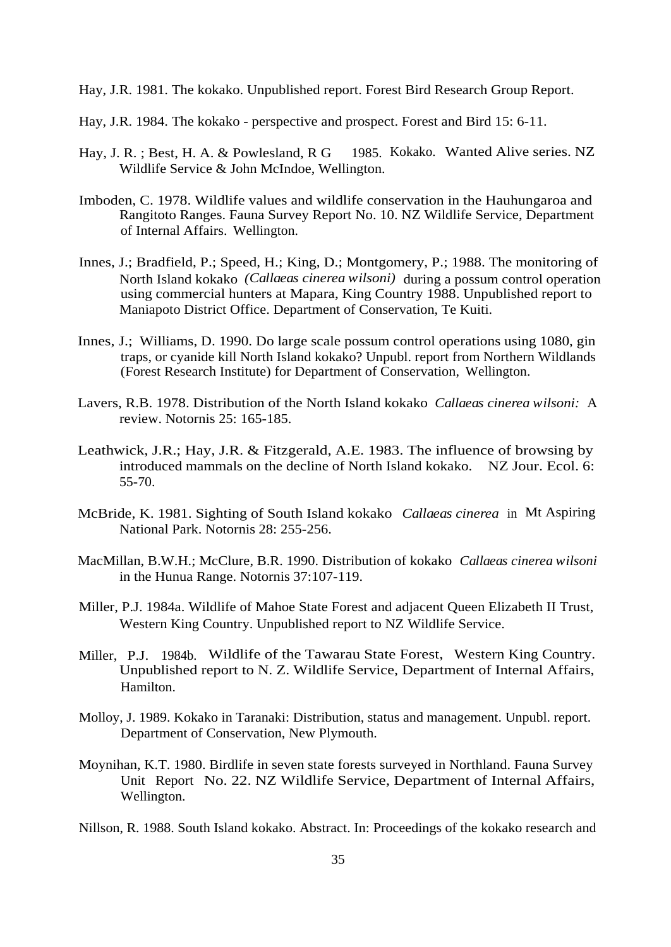Hay, J.R. 1981. The kokako. Unpublished report. Forest Bird Research Group Report.

- Hay, J.R. 1984. The kokako perspective and prospect. Forest and Bird 15: 6-11.
- Hay, J. R. ; Best, H. A. & Powlesland, R G 1985. Kokako. Wanted Alive series. NZ Wildlife Service & John McIndoe, Wellington.
- Imboden, C. 1978. Wildlife values and wildlife conservation in the Hauhungaroa and Rangitoto Ranges. Fauna Survey Report No. 10. NZ Wildlife Service, Department of Internal Affairs. Wellington.
- Innes, J.; Bradfield, P.; Speed, H.; King, D.; Montgomery, P.; 1988. The monitoring of North Island kokako *(Callaeas cinerea wilsoni)* during a possum control operation using commercial hunters at Mapara, King Country 1988. Unpublished report to Maniapoto District Office. Department of Conservation, Te Kuiti.
- Innes, J.; Williams, D. 1990. Do large scale possum control operations using 1080, gin traps, or cyanide kill North Island kokako? Unpubl. report from Northern Wildlands (Forest Research Institute) for Department of Conservation, Wellington.
- Lavers, R.B. 1978. Distribution of the North Island kokako *Callaeas cinerea wilsoni:* A review. Notornis 25: 165-185.
- Leathwick, J.R.; Hay, J.R. & Fitzgerald, A.E. 1983. The influence of browsing by introduced mammals on the decline of North Island kokako. NZ Jour. Ecol. 6: 55-70.
- McBride, K. 1981. Sighting of South Island kokako *Callaeas cinerea* in Mt Aspiring National Park. Notornis 28: 255-256.
- MacMillan, B.W.H.; McClure, B.R. 1990. Distribution of kokako *Callaeas cinerea wilsoni* in the Hunua Range. Notornis 37:107-119.
- Miller, P.J. 1984a. Wildlife of Mahoe State Forest and adjacent Queen Elizabeth II Trust, Western King Country. Unpublished report to NZ Wildlife Service.
- Miller, P.J. 1984b. Wildlife of the Tawarau State Forest, Western King Country. Unpublished report to N. Z. Wildlife Service, Department of Internal Affairs, Hamilton.
- Molloy, J. 1989. Kokako in Taranaki: Distribution, status and management. Unpubl. report. Department of Conservation, New Plymouth.
- Moynihan, K.T. 1980. Birdlife in seven state forests surveyed in Northland. Fauna Survey Unit Report No. 22. NZ Wildlife Service, Department of Internal Affairs, Wellington.

Nillson, R. 1988. South Island kokako. Abstract. In: Proceedings of the kokako research and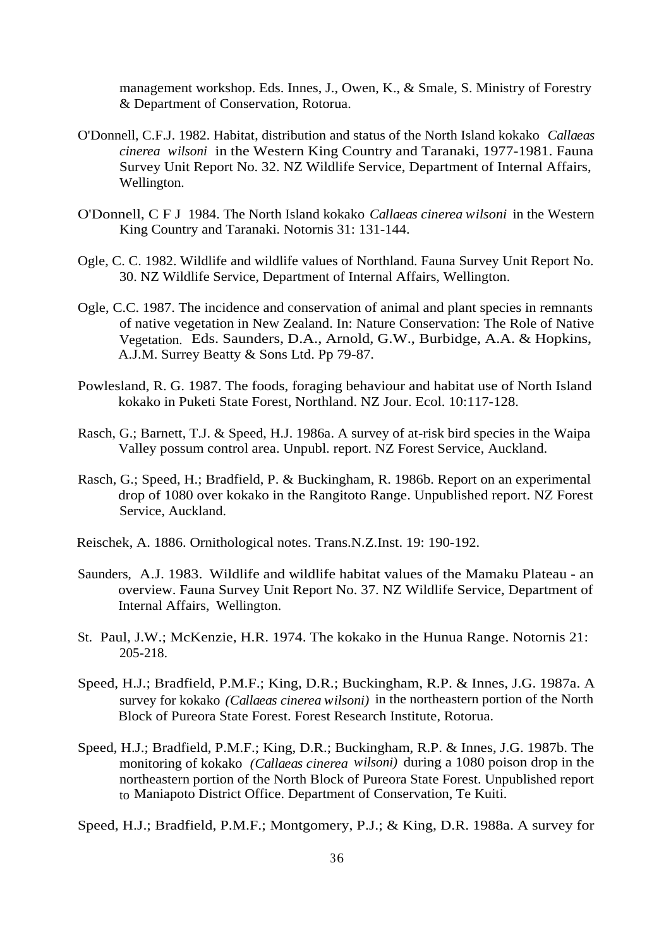management workshop. Eds. Innes, J., Owen, K., & Smale, S. Ministry of Forestry & Department of Conservation, Rotorua.

- O'Donnell, C.F.J. 1982. Habitat, distribution and status of the North Island kokako *Callaeas cinerea wilsoni* in the Western King Country and Taranaki, 1977-1981. Fauna Survey Unit Report No. 32. NZ Wildlife Service, Department of Internal Affairs, Wellington.
- O'Donnell, C F J 1984. The North Island kokako *Callaeas cinerea wilsoni* in the Western King Country and Taranaki. Notornis 31: 131-144.
- Ogle, C. C. 1982. Wildlife and wildlife values of Northland. Fauna Survey Unit Report No. 30. NZ Wildlife Service, Department of Internal Affairs, Wellington.
- Ogle, C.C. 1987. The incidence and conservation of animal and plant species in remnants of native vegetation in New Zealand. In: Nature Conservation: The Role of Native Vegetation. Eds. Saunders, D.A., Arnold, G.W., Burbidge, A.A. & Hopkins, A.J.M. Surrey Beatty & Sons Ltd. Pp 79-87.
- Powlesland, R. G. 1987. The foods, foraging behaviour and habitat use of North Island kokako in Puketi State Forest, Northland. NZ Jour. Ecol. 10:117-128.
- Rasch, G.; Barnett, T.J. & Speed, H.J. 1986a. A survey of at-risk bird species in the Waipa Valley possum control area. Unpubl. report. NZ Forest Service, Auckland.
- Rasch, G.; Speed, H.; Bradfield, P. & Buckingham, R. 1986b. Report on an experimental drop of 1080 over kokako in the Rangitoto Range. Unpublished report. NZ Forest Service, Auckland.
- Reischek, A. 1886. Ornithological notes. Trans.N.Z.Inst. 19: 190-192.
- Saunders, A.J. 1983. Wildlife and wildlife habitat values of the Mamaku Plateau an overview. Fauna Survey Unit Report No. 37. NZ Wildlife Service, Department of Internal Affairs, Wellington.
- St. Paul, J.W.; McKenzie, H.R. 1974. The kokako in the Hunua Range. Notornis 21: 205-218.
- Speed, H.J.; Bradfield, P.M.F.; King, D.R.; Buckingham, R.P. & Innes, J.G. 1987a. A survey for kokako *(Callaeas cinerea wilsoni)* in the northeastern portion of the North Block of Pureora State Forest. Forest Research Institute, Rotorua.
- Speed, H.J.; Bradfield, P.M.F.; King, D.R.; Buckingham, R.P. & Innes, J.G. 1987b. The monitoring of kokako *(Callaeas cinerea wilsoni)* during a 1080 poison drop in the northeastern portion of the North Block of Pureora State Forest. Unpublished report to Maniapoto District Office. Department of Conservation, Te Kuiti.

Speed, H.J.; Bradfield, P.M.F.; Montgomery, P.J.; & King, D.R. 1988a. A survey for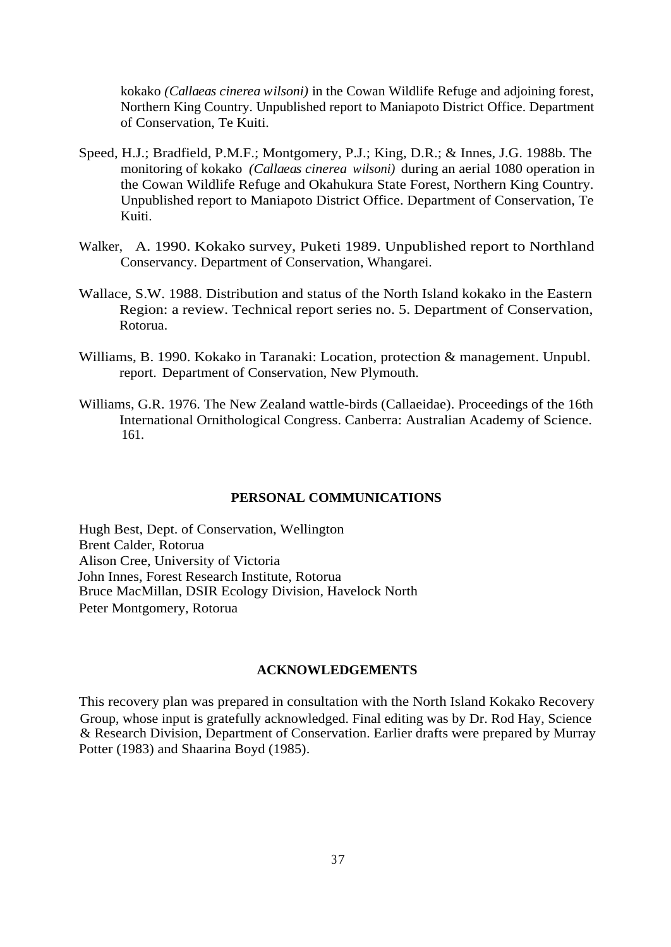kokako *(Callaeas cinerea wilsoni)* in the Cowan Wildlife Refuge and adjoining forest, Northern King Country. Unpublished report to Maniapoto District Office. Department of Conservation, Te Kuiti.

- Speed, H.J.; Bradfield, P.M.F.; Montgomery, P.J.; King, D.R.; & Innes, J.G. 1988b. The monitoring of kokako *(Callaeas cinerea wilsoni)* during an aerial 1080 operation in the Cowan Wildlife Refuge and Okahukura State Forest, Northern King Country. Unpublished report to Maniapoto District Office. Department of Conservation, Te Kuiti.
- Walker, A. 1990. Kokako survey, Puketi 1989. Unpublished report to Northland Conservancy. Department of Conservation, Whangarei.
- Wallace, S.W. 1988. Distribution and status of the North Island kokako in the Eastern Region: a review. Technical report series no. 5. Department of Conservation, Rotorua.
- Williams, B. 1990. Kokako in Taranaki: Location, protection & management. Unpubl. report. Department of Conservation, New Plymouth.
- Williams, G.R. 1976. The New Zealand wattle-birds (Callaeidae). Proceedings of the 16th International Ornithological Congress. Canberra: Australian Academy of Science. 161.

#### **PERSONAL COMMUNICATIONS**

Hugh Best, Dept. of Conservation, Wellington Brent Calder, Rotorua Alison Cree, University of Victoria John Innes, Forest Research Institute, Rotorua Bruce MacMillan, DSIR Ecology Division, Havelock North Peter Montgomery, Rotorua

#### **ACKNOWLEDGEMENTS**

This recovery plan was prepared in consultation with the North Island Kokako Recovery Group, whose input is gratefully acknowledged. Final editing was by Dr. Rod Hay, Science & Research Division, Department of Conservation. Earlier drafts were prepared by Murray Potter (1983) and Shaarina Boyd (1985).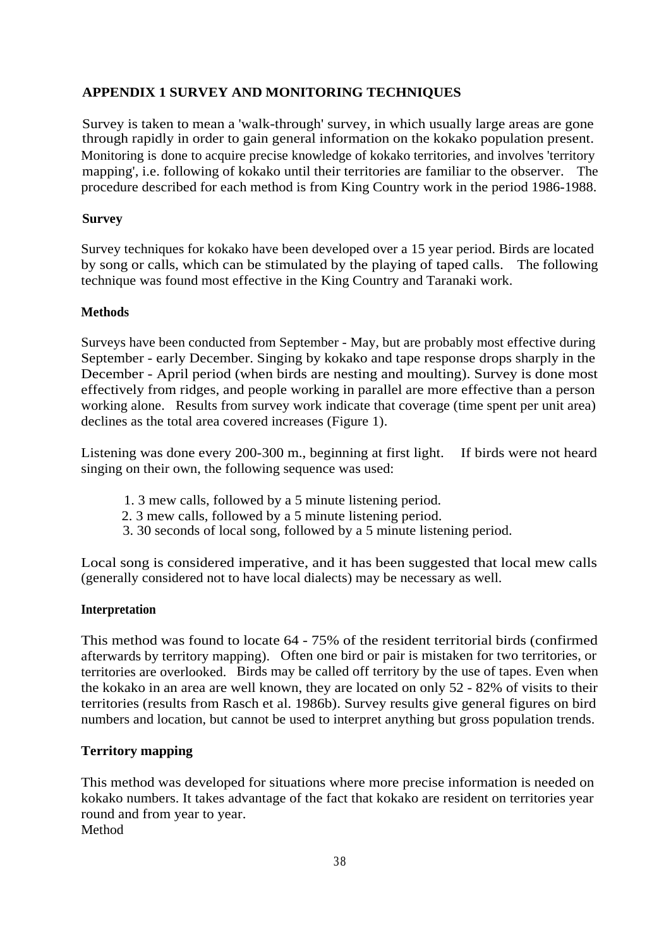# **APPENDIX 1 SURVEY AND MONITORING TECHNIQUES**

Survey is taken to mean a 'walk-through' survey, in which usually large areas are gone through rapidly in order to gain general information on the kokako population present. Monitoring is done to acquire precise knowledge of kokako territories, and involves 'territory mapping', i.e. following of kokako until their territories are familiar to the observer. The procedure described for each method is from King Country work in the period 1986-1988.

# **Survey**

Survey techniques for kokako have been developed over a 15 year period. Birds are located by song or calls, which can be stimulated by the playing of taped calls. The following technique was found most effective in the King Country and Taranaki work.

# **Methods**

Surveys have been conducted from September - May, but are probably most effective during September - early December. Singing by kokako and tape response drops sharply in the December - April period (when birds are nesting and moulting). Survey is done most effectively from ridges, and people working in parallel are more effective than a person working alone. Results from survey work indicate that coverage (time spent per unit area) declines as the total area covered increases (Figure 1).

Listening was done every 200-300 m., beginning at first light. If birds were not heard singing on their own, the following sequence was used:

- 1. 3 mew calls, followed by a 5 minute listening period.
- 2. 3 mew calls, followed by a 5 minute listening period.
- 3. 30 seconds of local song, followed by a 5 minute listening period.

Local song is considered imperative, and it has been suggested that local mew calls (generally considered not to have local dialects) may be necessary as well.

### **Interpretation**

This method was found to locate 64 - 75% of the resident territorial birds (confirmed afterwards by territory mapping). Often one bird or pair is mistaken for two territories, or territories are overlooked. Birds may be called off territory by the use of tapes. Even when the kokako in an area are well known, they are located on only 52 - 82% of visits to their territories (results from Rasch et al. 1986b). Survey results give general figures on bird numbers and location, but cannot be used to interpret anything but gross population trends.

### **Territory mapping**

This method was developed for situations where more precise information is needed on kokako numbers. It takes advantage of the fact that kokako are resident on territories year round and from year to year. Method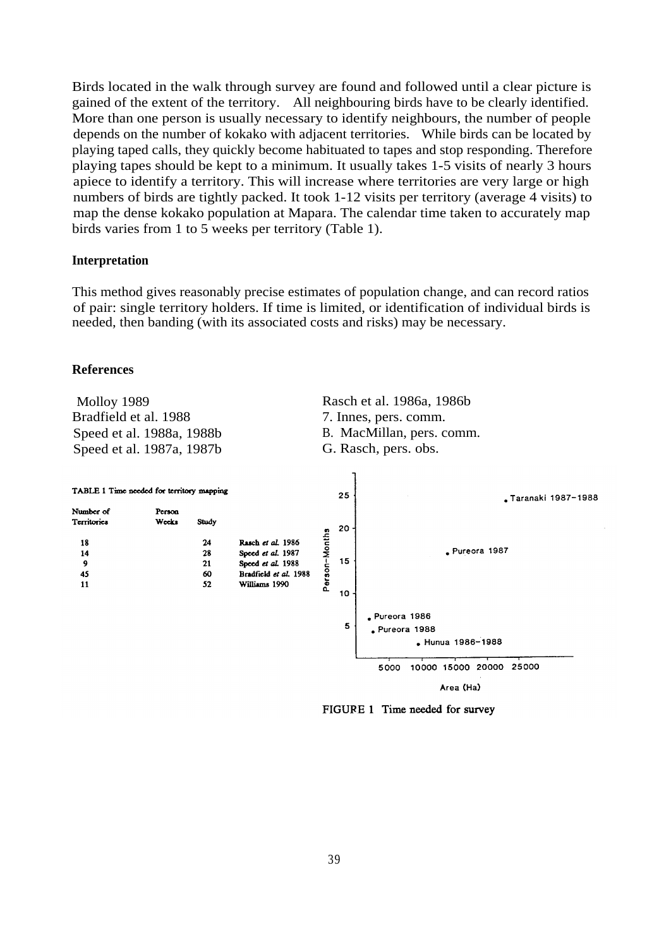Birds located in the walk through survey are found and followed until a clear picture is gained of the extent of the territory. All neighbouring birds have to be clearly identified. More than one person is usually necessary to identify neighbours, the number of people depends on the number of kokako with adjacent territories. While birds can be located by playing taped calls, they quickly become habituated to tapes and stop responding. Therefore playing tapes should be kept to a minimum. It usually takes 1-5 visits of nearly 3 hours apiece to identify a territory. This will increase where territories are very large or high numbers of birds are tightly packed. It took 1-12 visits per territory (average 4 visits) to map the dense kokako population at Mapara. The calendar time taken to accurately map birds varies from 1 to 5 weeks per territory (Table 1).

#### **Interpretation**

This method gives reasonably precise estimates of population change, and can record ratios of pair: single territory holders. If time is limited, or identification of individual birds is needed, then banding (with its associated costs and risks) may be necessary.

#### **References**



FIGURE 1 Time needed for survey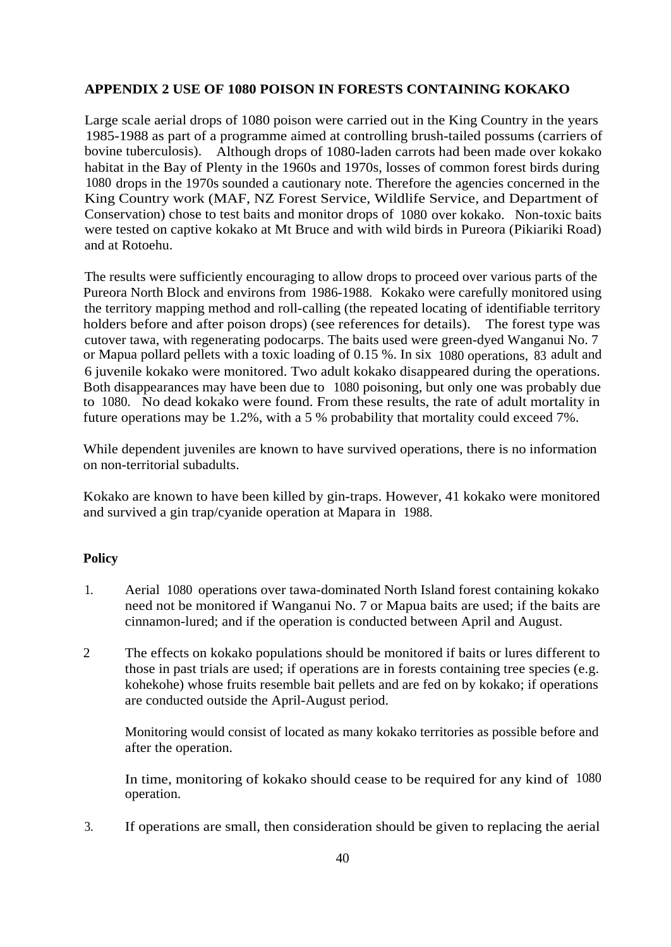## **APPENDIX 2 USE OF 1080 POISON IN FORESTS CONTAINING KOKAKO**

Large scale aerial drops of 1080 poison were carried out in the King Country in the years 1985-1988 as part of a programme aimed at controlling brush-tailed possums (carriers of bovine tuberculosis). Although drops of 1080-laden carrots had been made over kokako habitat in the Bay of Plenty in the 1960s and 1970s, losses of common forest birds during 1080 drops in the 1970s sounded a cautionary note. Therefore the agencies concerned in the King Country work (MAF, NZ Forest Service, Wildlife Service, and Department of Conservation) chose to test baits and monitor drops of 1080 over kokako. Non-toxic baits were tested on captive kokako at Mt Bruce and with wild birds in Pureora (Pikiariki Road) and at Rotoehu.

The results were sufficiently encouraging to allow drops to proceed over various parts of the Pureora North Block and environs from 1986-1988. Kokako were carefully monitored using the territory mapping method and roll-calling (the repeated locating of identifiable territory holders before and after poison drops) (see references for details). The forest type was cutover tawa, with regenerating podocarps. The baits used were green-dyed Wanganui No. 7 or Mapua pollard pellets with a toxic loading of 0.15 %. In six 1080 operations, 83 adult and 6 juvenile kokako were monitored. Two adult kokako disappeared during the operations. Both disappearances may have been due to 1080 poisoning, but only one was probably due to 1080. No dead kokako were found. From these results, the rate of adult mortality in future operations may be 1.2%, with a 5 % probability that mortality could exceed 7%.

While dependent juveniles are known to have survived operations, there is no information on non-territorial subadults.

Kokako are known to have been killed by gin-traps. However, 41 kokako were monitored and survived a gin trap/cyanide operation at Mapara in 1988.

#### **Policy**

- 1. Aerial 1080 operations over tawa-dominated North Island forest containing kokako need not be monitored if Wanganui No. 7 or Mapua baits are used; if the baits are cinnamon-lured; and if the operation is conducted between April and August.
- 2 The effects on kokako populations should be monitored if baits or lures different to those in past trials are used; if operations are in forests containing tree species (e.g. kohekohe) whose fruits resemble bait pellets and are fed on by kokako; if operations are conducted outside the April-August period.

Monitoring would consist of located as many kokako territories as possible before and after the operation.

In time, monitoring of kokako should cease to be required for any kind of 1080 operation.

3. If operations are small, then consideration should be given to replacing the aerial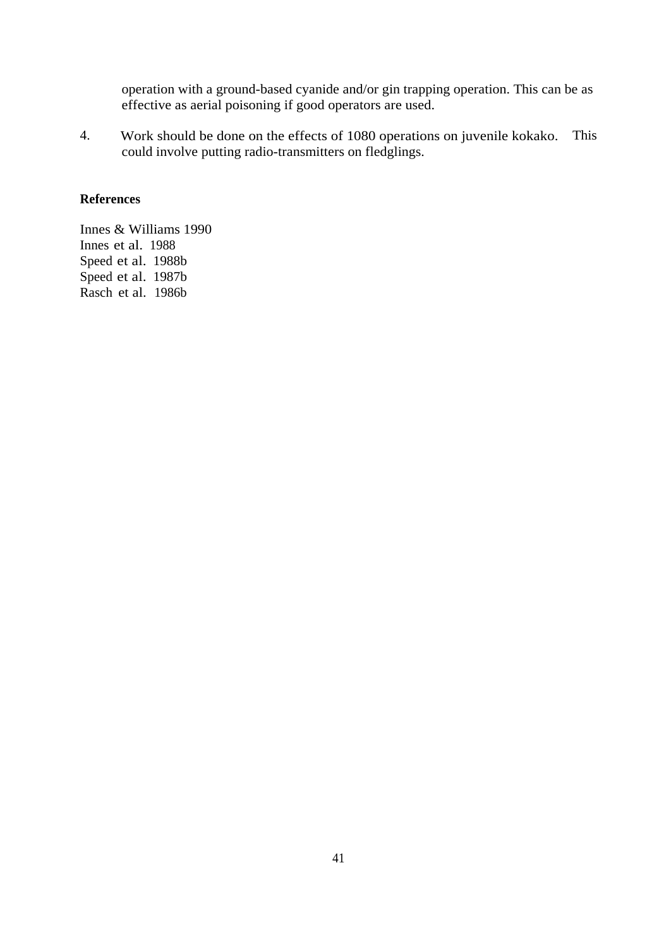operation with a ground-based cyanide and/or gin trapping operation. This can be as effective as aerial poisoning if good operators are used.

4. Work should be done on the effects of 1080 operations on juvenile kokako. This could involve putting radio-transmitters on fledglings.

#### **References**

Innes & Williams 1990 Innes et al. 1988 Speed et al. 1988b Speed et al. 1987b Rasch et al. 1986b